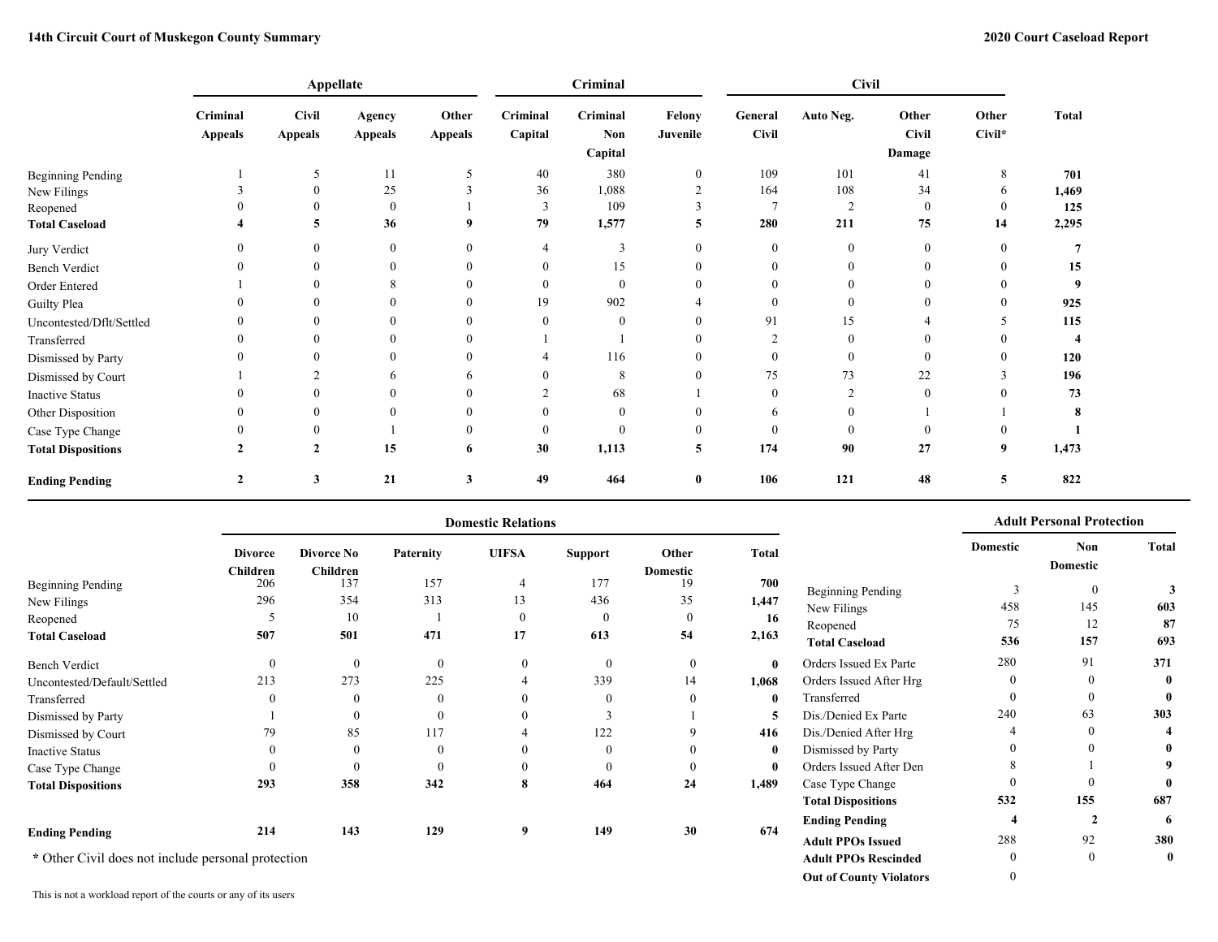**Out of County Violators** 0

|                           |                            | Appellate                      |                          |                         |                     | Criminal                   |                    |                         |                |                                 |                 |              |
|---------------------------|----------------------------|--------------------------------|--------------------------|-------------------------|---------------------|----------------------------|--------------------|-------------------------|----------------|---------------------------------|-----------------|--------------|
|                           | Criminal<br><b>Appeals</b> | <b>Civil</b><br><b>Appeals</b> | Agency<br><b>Appeals</b> | Other<br><b>Appeals</b> | Criminal<br>Capital | Criminal<br>Non<br>Capital | Felony<br>Juvenile | General<br><b>Civil</b> | Auto Neg.      | Other<br><b>Civil</b><br>Damage | Other<br>Civil* | <b>Total</b> |
| <b>Beginning Pending</b>  |                            |                                | 11                       | 5                       | 40                  | 380                        | $\theta$           | 109                     | 101            | 41                              | 8               | 701          |
| New Filings               |                            | $\theta$                       | 25                       |                         | 36                  | 1,088                      | $\sim$             | 164                     | 108            | 34                              | 6               | 1,469        |
| Reopened                  |                            | $\Omega$                       | $\mathbf{0}$             |                         | 3                   | 109                        |                    |                         | $\overline{2}$ | $\theta$                        | $\theta$        | 125          |
| <b>Total Caseload</b>     |                            | 5                              | 36                       | 9                       | 79                  | 1,577                      | 5                  | 280                     | 211            | 75                              | 14              | 2,295        |
| Jury Verdict              |                            | $\theta$                       | $\mathbf{0}$             | $\mathbf{0}$            | 4                   | 3                          |                    | $\mathbf{0}$            | $\mathbf{0}$   | $\mathbf{0}$                    | $\mathbf{0}$    |              |
| <b>Bench Verdict</b>      |                            | 0                              | $\boldsymbol{0}$         | $\mathbf{0}$            |                     | 15                         |                    |                         | $\theta$       | $\Omega$                        | $\mathbf{0}$    | 15           |
| Order Entered             |                            | $\mathbf{0}$                   | 8                        | $\mathbf{0}$            | $\theta$            | $\mathbf{0}$               |                    |                         |                | $\Omega$                        | $\theta$        |              |
| Guilty Plea               |                            |                                | 0                        | $\mathbf{0}$            | 19                  | 902                        |                    |                         | $\theta$       |                                 | $\theta$        | 925          |
| Uncontested/Dflt/Settled  |                            |                                | $\Omega$                 |                         | 0                   | $\mathbf{0}$               |                    | 91                      | 15             |                                 |                 | 115          |
| Transferred               |                            |                                | $\Omega$                 |                         |                     |                            |                    |                         | $\theta$       |                                 |                 |              |
| Dismissed by Party        |                            |                                | $\theta$                 |                         |                     | 116                        |                    |                         |                | $\Omega$                        | $\mathbf{0}$    | 120          |
| Dismissed by Court        |                            |                                | 6                        | <sub>0</sub>            |                     | 8                          |                    | 75                      | 73             | 22                              | 3               | 196          |
| <b>Inactive Status</b>    |                            |                                | 0                        |                         |                     | 68                         |                    |                         | $\overline{c}$ | $\Omega$                        |                 | 73           |
| Other Disposition         |                            |                                | $\theta$                 |                         |                     | $\bf{0}$                   |                    | h                       |                |                                 |                 |              |
| Case Type Change          |                            | 0                              |                          | $\theta$                | 0                   | $\mathbf{0}$               |                    |                         | $\theta$       | $\Omega$                        | $\theta$        |              |
| <b>Total Dispositions</b> | $\mathbf{2}$               | $\mathbf{2}$                   | 15                       | 6                       | 30                  | 1,113                      | 5                  | 174                     | 90             | 27                              | 9               | 1,473        |
| <b>Ending Pending</b>     | $\mathbf{2}$               | 3                              | 21                       | 3                       | 49                  | 464                        | $\bf{0}$           | 106                     | 121            | 48                              | 5               | 822          |

|                                                    |                 |                        |           | <b>Domestic Relations</b> |                |                       |              | <b>Adult Personal Protection</b> |          |                 |              |
|----------------------------------------------------|-----------------|------------------------|-----------|---------------------------|----------------|-----------------------|--------------|----------------------------------|----------|-----------------|--------------|
|                                                    | <b>Divorce</b>  | <b>Divorce No</b>      | Paternity | <b>UIFSA</b>              | <b>Support</b> | Other                 | <b>Total</b> |                                  | Domestic | Non<br>Domestic | <b>Total</b> |
| <b>Beginning Pending</b>                           | Children<br>206 | <b>Children</b><br>137 | 157       | 4                         | 177            | <b>Domestic</b><br>19 | 700          |                                  |          |                 |              |
|                                                    | 296             | 354                    | 313       | 13                        | 436            | 35                    | 1,447        | <b>Beginning Pending</b>         |          | $\mathbf{0}$    |              |
| New Filings                                        |                 |                        |           |                           |                |                       |              | New Filings                      | 458      | 145             | 603          |
| Reopened                                           |                 | 10                     |           | $\theta$                  | $\theta$       | $\mathbf{0}$          | 16           | Reopened                         | 75       | 12              | 87           |
| <b>Total Caseload</b>                              | 507             | 501                    | 471       | 17                        | 613            | 54                    | 2,163        | <b>Total Caseload</b>            | 536      | 157             | 693          |
| <b>Bench Verdict</b>                               | $\theta$        |                        | $\theta$  | 0                         | $\theta$       | $\bf{0}$              | $\mathbf{0}$ | Orders Issued Ex Parte           | 280      | 91              | 371          |
| Uncontested/Default/Settled                        | 213             | 273                    | 225       | 4                         | 339            | 14                    | 1,068        | Orders Issued After Hrg          |          |                 | $\mathbf{0}$ |
| Transferred                                        | $\left($        |                        | $\theta$  |                           | $\theta$       | $\theta$              | $\bf{0}$     | Transferred                      |          | $\theta$        | $\mathbf{0}$ |
| Dismissed by Party                                 |                 |                        | $\Omega$  |                           |                |                       | 5            | Dis./Denied Ex Parte             | 240      | 63              | 303          |
| Dismissed by Court                                 | 79              | 85                     | 117       |                           | 122            | $\mathbf Q$           | 416          | Dis./Denied After Hrg            |          | $\theta$        |              |
| <b>Inactive Status</b>                             | $\Omega$        |                        | $\theta$  |                           | $\theta$       |                       | $\bf{0}$     | Dismissed by Party               |          | $\Omega$        |              |
| Case Type Change                                   |                 |                        | $\Omega$  |                           | 0              | $\theta$              | $\bf{0}$     | Orders Issued After Den          |          |                 | 9            |
| <b>Total Dispositions</b>                          | 293             | 358                    | 342       | 8                         | 464            | 24                    | 1,489        | Case Type Change                 |          | $\Omega$        | $\mathbf{0}$ |
|                                                    |                 |                        |           |                           |                |                       |              | <b>Total Dispositions</b>        | 532      | 155             | 687          |
|                                                    |                 |                        |           |                           |                |                       |              | <b>Ending Pending</b>            |          |                 | 6            |
| <b>Ending Pending</b>                              | 214             | 143                    | 129       | 9                         | 149            | 30                    | 674          | <b>Adult PPOs Issued</b>         | 288      | 92              | 380          |
| * Other Civil does not include personal protection |                 |                        |           |                           |                |                       |              | <b>Adult PPOs Rescinded</b>      |          | $\mathbf{0}$    | $\mathbf{0}$ |

This is not a workload report of the courts or any of its users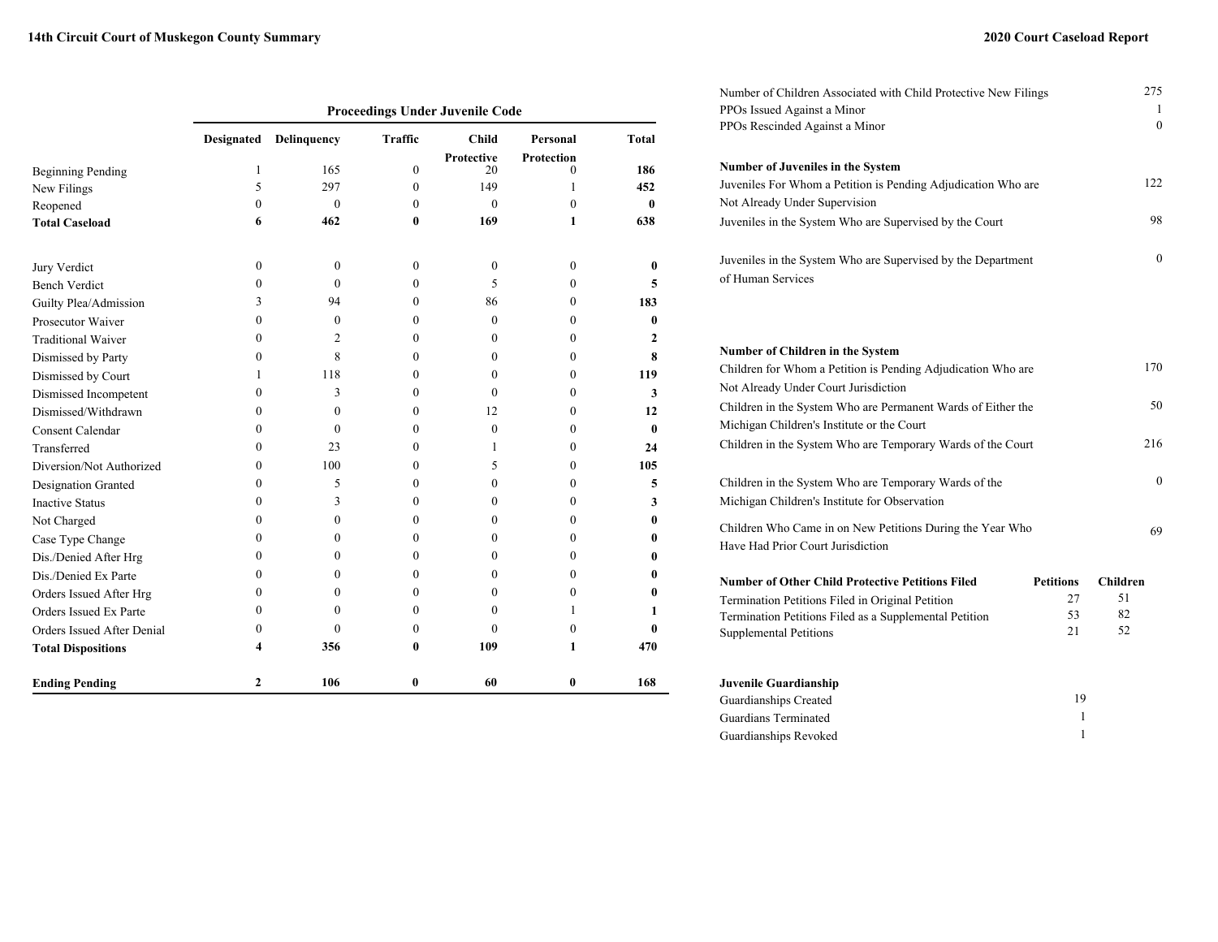|                            | <b>Proceedings Under Juvenile Code</b> |                  |                  |                   |              |              |  |  |  |  |  |  |  |  |
|----------------------------|----------------------------------------|------------------|------------------|-------------------|--------------|--------------|--|--|--|--|--|--|--|--|
|                            | Designated                             | Delinquency      | <b>Traffic</b>   | <b>Child</b>      | Personal     | <b>Total</b> |  |  |  |  |  |  |  |  |
|                            |                                        |                  |                  | <b>Protective</b> | Protection   |              |  |  |  |  |  |  |  |  |
| <b>Beginning Pending</b>   | 1                                      | 165              | $\Omega$         | 20                | $\theta$     | 186          |  |  |  |  |  |  |  |  |
| New Filings                | 5                                      | 297              | $\mathbf{0}$     | 149               | 1            | 452          |  |  |  |  |  |  |  |  |
| Reopened                   | $\theta$                               | $\theta$         | $\theta$         | $\theta$          | $\mathbf{0}$ | $\mathbf{0}$ |  |  |  |  |  |  |  |  |
| <b>Total Caseload</b>      | 6                                      | 462              | 0                | 169               | 1            | 638          |  |  |  |  |  |  |  |  |
| Jury Verdict               | $\mathbf{0}$                           | $\boldsymbol{0}$ | $\Omega$         | $\Omega$          | $\mathbf{0}$ | 0            |  |  |  |  |  |  |  |  |
| <b>Bench Verdict</b>       | $\theta$                               | $\Omega$         | $\theta$         | 5                 | $\theta$     | 5            |  |  |  |  |  |  |  |  |
| Guilty Plea/Admission      | 3                                      | 94               | $\Omega$         | 86                | $\theta$     | 183          |  |  |  |  |  |  |  |  |
| Prosecutor Waiver          | $\Omega$                               | $\boldsymbol{0}$ | $\Omega$         | $\theta$          | $\theta$     | $\bf{0}$     |  |  |  |  |  |  |  |  |
| <b>Traditional Waiver</b>  | $\theta$                               | $\overline{2}$   | $\theta$         | 0                 | $\theta$     | 2            |  |  |  |  |  |  |  |  |
| Dismissed by Party         | $\mathbf{0}$                           | 8                | $\boldsymbol{0}$ | 0                 | $\mathbf{0}$ | 8            |  |  |  |  |  |  |  |  |
| Dismissed by Court         | 1                                      | 118              | $\theta$         | $\Omega$          | $\mathbf{0}$ | 119          |  |  |  |  |  |  |  |  |
| Dismissed Incompetent      | $\mathbf{0}$                           | 3                | $\theta$         | $\theta$          | $\mathbf{0}$ | 3            |  |  |  |  |  |  |  |  |
| Dismissed/Withdrawn        | $\boldsymbol{0}$                       | $\mathbf{0}$     | $\theta$         | 12                | $\mathbf{0}$ | 12           |  |  |  |  |  |  |  |  |
| <b>Consent Calendar</b>    | $\mathbf{0}$                           | $\mathbf{0}$     | $\theta$         | $\mathbf{0}$      | $\mathbf{0}$ | $\bf{0}$     |  |  |  |  |  |  |  |  |
| Transferred                | 0                                      | 23               | $\Omega$         | 1                 | $\theta$     | 24           |  |  |  |  |  |  |  |  |
| Diversion/Not Authorized   | 0                                      | 100              | $\Omega$         | 5                 | $\mathbf{0}$ | 105          |  |  |  |  |  |  |  |  |
| Designation Granted        | 0                                      | 5                | $\Omega$         | $\theta$          | $\theta$     | 5            |  |  |  |  |  |  |  |  |
| <b>Inactive Status</b>     | 0                                      | 3                | $\theta$         | 0                 | $\mathbf{0}$ | 3            |  |  |  |  |  |  |  |  |
| Not Charged                | 0                                      | $\bf{0}$         | $\Omega$         | 0                 | $\theta$     | $\bf{0}$     |  |  |  |  |  |  |  |  |
| Case Type Change           | $\mathbf{0}$                           | $\bf{0}$         | $\theta$         | 0                 | $\mathbf{0}$ | 0            |  |  |  |  |  |  |  |  |
| Dis./Denied After Hrg      | $\mathbf{0}$                           | 0                | $\theta$         | 0                 | $\mathbf{0}$ | $\bf{0}$     |  |  |  |  |  |  |  |  |
| Dis./Denied Ex Parte       | $\theta$                               | $\theta$         | $\Omega$         | 0                 | $\theta$     | 0            |  |  |  |  |  |  |  |  |
| Orders Issued After Hrg    | $\Omega$                               | 0                | $\Omega$         | 0                 | $\mathbf{0}$ | 0            |  |  |  |  |  |  |  |  |
| Orders Issued Ex Parte     | 0                                      | $\theta$         | $\Omega$         | 0                 | 1            | 1            |  |  |  |  |  |  |  |  |
| Orders Issued After Denial | $\theta$                               | $\theta$         | 0                | $\Omega$          | $\theta$     | 0            |  |  |  |  |  |  |  |  |
| <b>Total Dispositions</b>  | 4                                      | 356              | 0                | 109               | 1            | 470          |  |  |  |  |  |  |  |  |
| <b>Ending Pending</b>      | $\mathbf{2}$                           | 106              | $\mathbf{0}$     | 60                | 0            | 168          |  |  |  |  |  |  |  |  |

| Number of Children Associated with Child Protective New Filings                   |                  | 275              |
|-----------------------------------------------------------------------------------|------------------|------------------|
| PPOs Issued Against a Minor<br>PPOs Rescinded Against a Minor                     |                  | 1<br>$\theta$    |
|                                                                                   |                  |                  |
| Number of Juveniles in the System                                                 |                  |                  |
| Juveniles For Whom a Petition is Pending Adjudication Who are                     |                  | 122              |
| Not Already Under Supervision                                                     |                  |                  |
| Juveniles in the System Who are Supervised by the Court                           |                  | 98               |
| Juveniles in the System Who are Supervised by the Department<br>of Human Services |                  | $\boldsymbol{0}$ |
|                                                                                   |                  |                  |
| Number of Children in the System                                                  |                  |                  |
| Children for Whom a Petition is Pending Adjudication Who are                      |                  | 170              |
| Not Already Under Court Jurisdiction                                              |                  |                  |
| Children in the System Who are Permanent Wards of Either the                      |                  | 50               |
| Michigan Children's Institute or the Court                                        |                  |                  |
| Children in the System Who are Temporary Wards of the Court                       |                  | 216              |
| Children in the System Who are Temporary Wards of the                             |                  | $\mathbf{0}$     |
| Michigan Children's Institute for Observation                                     |                  |                  |
| Children Who Came in on New Petitions During the Year Who                         |                  | 69               |
| Have Had Prior Court Jurisdiction                                                 |                  |                  |
| <b>Number of Other Child Protective Petitions Filed</b>                           | <b>Petitions</b> | <b>Children</b>  |
| Termination Petitions Filed in Original Petition                                  | 27               | 51               |
| Termination Petitions Filed as a Supplemental Petition                            | 53               | 82               |
| <b>Supplemental Petitions</b>                                                     | 21               | 52               |
| Juvenile Guardianship                                                             |                  |                  |
| Guardianships Created                                                             | 19               |                  |
| Guardians Terminated                                                              | 1                |                  |
| Guardianships Revoked                                                             | 1                |                  |

Guardianships Revoked 1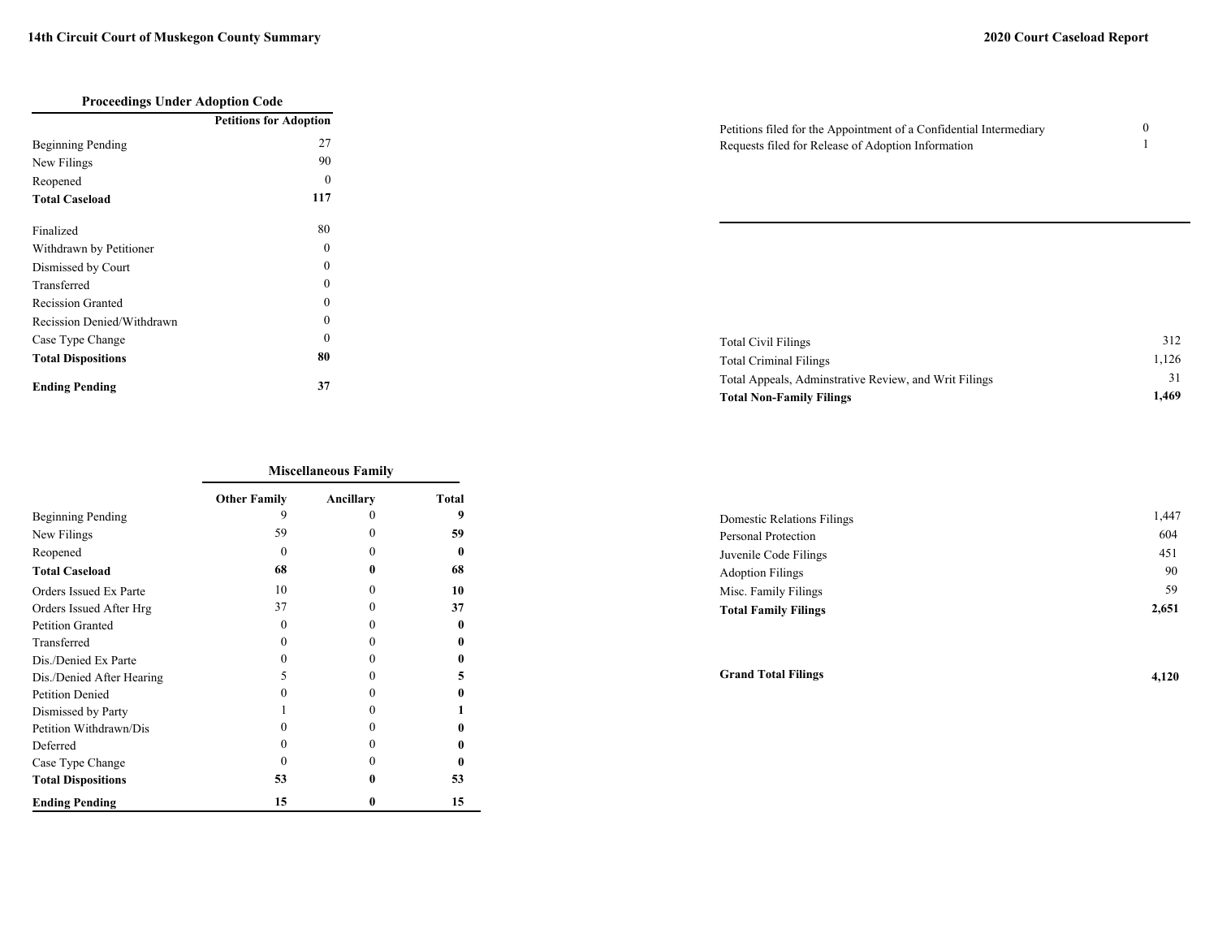| <b>Proceedings Under Adoption Code</b> |                               |
|----------------------------------------|-------------------------------|
|                                        | <b>Petitions for Adoption</b> |
| Beginning Pending                      | 27                            |
| New Filings                            | 90                            |
| Reopened                               | 0                             |
| <b>Total Caseload</b>                  | 117                           |
| Finalized                              | 80                            |
| Withdrawn by Petitioner                | $\Omega$                      |
| Dismissed by Court                     | 0                             |
| Transferred                            | $\Omega$                      |
| <b>Recission Granted</b>               | $\Omega$                      |
| Recission Denied/Withdrawn             | 0                             |
| Case Type Change                       | 0                             |
| <b>Total Dispositions</b>              | 80                            |
| <b>Ending Pending</b>                  | 37                            |

| Petitions filed for the Appointment of a Confidential Intermediary |  |
|--------------------------------------------------------------------|--|
| Requests filed for Release of Adoption Information                 |  |

| Total Civil Filings                                   | 312   |
|-------------------------------------------------------|-------|
| Total Criminal Filings                                | 1.126 |
| Total Appeals, Adminstrative Review, and Writ Filings | 31    |
| <b>Total Non-Family Filings</b>                       | 1.469 |

|                           | <b>Miscellaneous Family</b> |           |       |  |  |  |  |  |  |  |  |
|---------------------------|-----------------------------|-----------|-------|--|--|--|--|--|--|--|--|
|                           | <b>Other Family</b>         | Ancillary | Total |  |  |  |  |  |  |  |  |
| Beginning Pending         | 9                           |           | 9     |  |  |  |  |  |  |  |  |
| New Filings               | 59                          | $\Omega$  | 59    |  |  |  |  |  |  |  |  |
| Reopened                  | $\Omega$                    | $\Omega$  |       |  |  |  |  |  |  |  |  |
| <b>Total Caseload</b>     | 68                          | 0         | 68    |  |  |  |  |  |  |  |  |
| Orders Issued Ex Parte    | 10                          | 0         | 10    |  |  |  |  |  |  |  |  |
| Orders Issued After Hrg   | 37                          | 0         | 37    |  |  |  |  |  |  |  |  |
| <b>Petition Granted</b>   | $\Omega$                    | 0         | 0     |  |  |  |  |  |  |  |  |
| Transferred               | 0                           | $\Omega$  |       |  |  |  |  |  |  |  |  |
| Dis./Denied Ex Parte      | $\Omega$                    | 0         |       |  |  |  |  |  |  |  |  |
| Dis./Denied After Hearing | 5                           | $\Omega$  | 5     |  |  |  |  |  |  |  |  |
| <b>Petition Denied</b>    | $\Omega$                    | $\Omega$  | 0     |  |  |  |  |  |  |  |  |
| Dismissed by Party        |                             | $_{0}$    |       |  |  |  |  |  |  |  |  |
| Petition Withdrawn/Dis    | $\Omega$                    | $\Omega$  | 0     |  |  |  |  |  |  |  |  |
| Deferred                  | $\Omega$                    | $\Omega$  |       |  |  |  |  |  |  |  |  |
| Case Type Change          |                             | $\Omega$  |       |  |  |  |  |  |  |  |  |
| <b>Total Dispositions</b> | 53                          | 0         | 53    |  |  |  |  |  |  |  |  |
| <b>Ending Pending</b>     | 15                          | 0         | 15    |  |  |  |  |  |  |  |  |

| Domestic Relations Filings  | 1.447 |
|-----------------------------|-------|
| Personal Protection         | 604   |
| Juvenile Code Filings       | 451   |
| <b>Adoption Filings</b>     | 90    |
| Misc. Family Filings        | 59    |
| <b>Total Family Filings</b> | 2,651 |

**Grand Total Filings 4,120**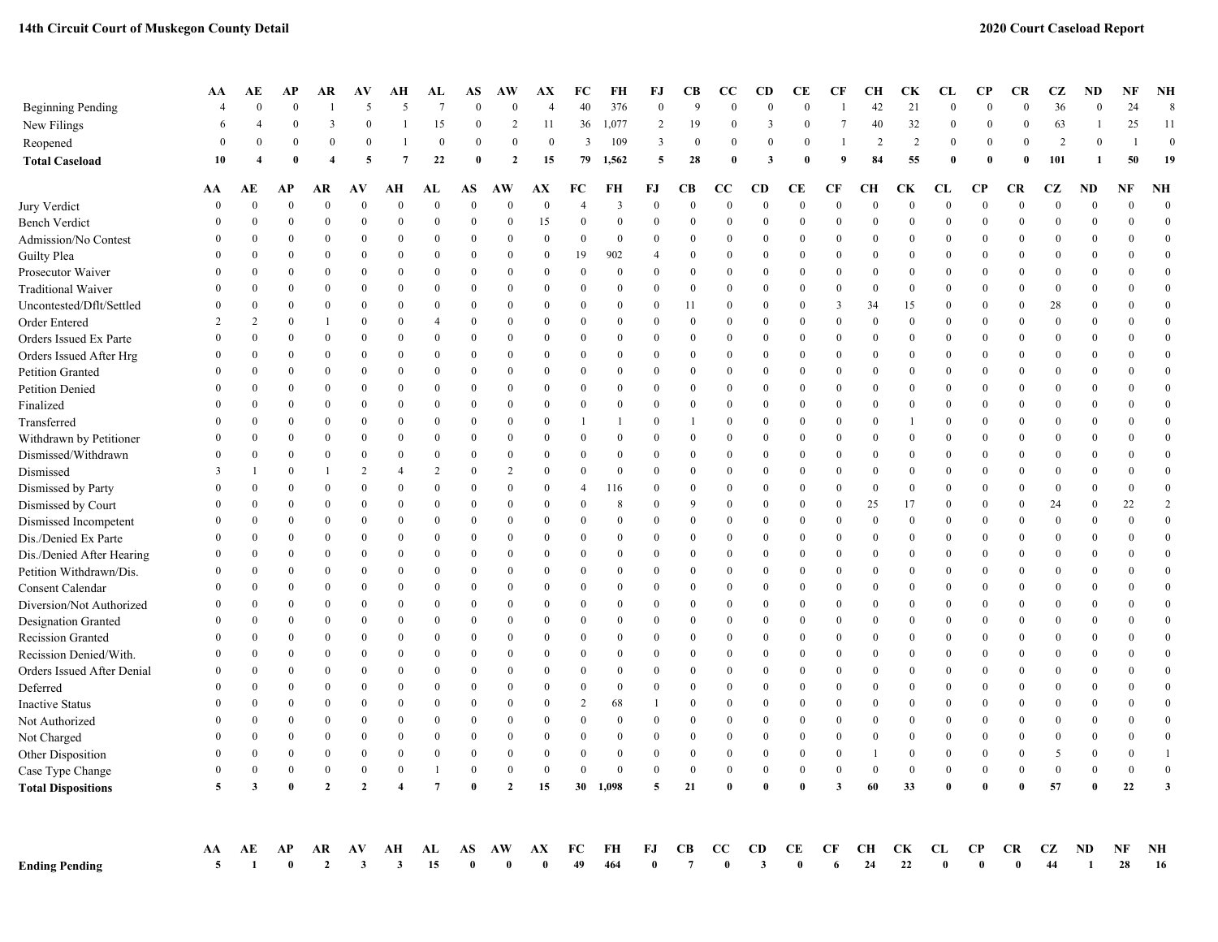|                            | AA                   | AЕ                      | АP               | AR                     | AV               | AН                      | AL                 | AS               | AW             | AX                   | FC             | FH                            | FJ                 | CВ               | CС             | <b>CD</b>                    | CЕ             | CF                       | CН               | CK               | CL                 | <b>CP</b>             | <b>CR</b>             | CZ               | ND             | NF             | <b>NH</b>          |
|----------------------------|----------------------|-------------------------|------------------|------------------------|------------------|-------------------------|--------------------|------------------|----------------|----------------------|----------------|-------------------------------|--------------------|------------------|----------------|------------------------------|----------------|--------------------------|------------------|------------------|--------------------|-----------------------|-----------------------|------------------|----------------|----------------|--------------------|
| <b>Beginning Pending</b>   |                      | $\Omega$                | $\Omega$         |                        | 5                | 5                       | $\overline{7}$     | $\Omega$         | $\theta$       | $\overline{4}$       | 40             | 376                           | $\boldsymbol{0}$   | 9                | $\Omega$       | $\theta$                     | $\Omega$       |                          | 42               | 21               | $\Omega$           | $\Omega$              | $\theta$              | 36               | $\theta$       | 24             | 8                  |
| New Filings                | 6                    |                         | $\Omega$         | 3                      | $\Omega$         |                         | 15                 | $\theta$         | $\overline{2}$ | 11                   | 36             | 1,077                         | 2                  | 19               | $\theta$       | 3                            | $\theta$       | 7                        | 40               | 32               | $\Omega$           | $\Omega$              | $\theta$              | 63               |                | 25             | 11                 |
| Reopened                   | $\Omega$             | $\mathbf{0}$            | $\theta$         | $\mathbf{0}$           | $\boldsymbol{0}$ |                         | $\overline{0}$     | $\mathbf{0}$     | $\overline{0}$ | $\bf{0}$             | 3              | 109                           | 3                  | $\overline{0}$   | $\bf{0}$       | $\mathbf{0}$                 | $\Omega$       |                          | $\overline{c}$   | $\overline{2}$   | $\theta$           | $\mathbf{0}$          | $\mathbf{0}$          | $\overline{2}$   | $\Omega$       |                | $\Omega$           |
| <b>Total Caseload</b>      | 10                   | 4                       | $\theta$         | $\boldsymbol{\Lambda}$ | 5                | $\overline{7}$          | 22                 | $\mathbf{0}$     | $\overline{2}$ | 15                   | 79             | 1,562                         | 5                  | 28               | $\theta$       | 3                            | $\sqrt{ }$     | $\boldsymbol{q}$         | 84               | 55               | $\theta$           | $\mathbf{0}$          | $\mathbf{0}$          | 101              | -1             | 50             | 19                 |
|                            |                      |                         |                  |                        |                  |                         |                    |                  |                |                      |                |                               |                    |                  |                |                              |                |                          |                  |                  |                    |                       |                       |                  |                |                |                    |
|                            | AA<br>$\sqrt{ }$     | AЕ<br>$\Omega$          | АP<br>$\theta$   | AR<br>$\Omega$         | AV<br>$\theta$   | AН<br>$\mathbf{0}$      | AL<br>$\mathbf{0}$ | AS<br>$\theta$   | AW<br>$\theta$ | АX<br>$\overline{0}$ | FC             | FH<br>$\overline{\mathbf{3}}$ | FJ<br>$\mathbf{0}$ | CВ<br>$\theta$   | CС<br>$\theta$ | <b>CD</b><br>$\overline{0}$  | CЕ<br>$\theta$ | <b>CF</b><br>$\theta$    | CН<br>$\theta$   | CК<br>$\theta$   | CL<br>$\mathbf{0}$ | <b>CP</b><br>$\theta$ | <b>CR</b><br>$\theta$ | CZ<br>$\theta$   | ND<br>$\Omega$ | NF<br>$\Omega$ | NH<br>$\mathbf{0}$ |
| Jury Verdict               |                      | $\overline{0}$          | $\mathbf{0}$     | $\theta$               | $\bf{0}$         | $\bf{0}$                | $\mathbf{0}$       | $\mathbf{0}$     | $\theta$       |                      | $\Omega$       | $\bf{0}$                      | $\boldsymbol{0}$   | $\mathbf{0}$     | $\theta$       | $\mathbf{0}$                 | $\mathbf{0}$   |                          | $\bf{0}$         | $\bf{0}$         | $\mathbf{0}$       | $\mathbf{0}$          | $\theta$              | $\mathbf{0}$     | $\Omega$       | $\Omega$       | $\boldsymbol{0}$   |
| <b>Bench Verdict</b>       |                      | $\overline{0}$          | $\mathbf{0}$     | $\Omega$               | $\overline{0}$   | $\mathbf{0}$            | $\overline{0}$     | $\mathbf{0}$     | $\theta$       | 15<br>$\mathbf{0}$   |                | $\bf{0}$                      | $\mathbf{0}$       | $\mathbf{0}$     | $\theta$       | $\overline{0}$               | $\mathbf{0}$   | $\mathbf{0}$<br>$\Omega$ | $\overline{0}$   | $\mathbf{0}$     | $\mathbf{0}$       | $\mathbf{0}$          | $\overline{0}$        | $\mathbf{0}$     | $\Omega$       | $\Omega$       | $\mathbf{0}$       |
| Admission/No Contest       |                      | $\Omega$                | $\Omega$         | $\Omega$               | $\Omega$         | $\Omega$                | $\Omega$           | $\Omega$         | $\Omega$       | $\Omega$             | $\mathbf{0}$   | 902                           | $\overline{4}$     | $\Omega$         | $\Omega$       |                              | 0              | $\Omega$                 | $\theta$         | $\Omega$         | $\theta$           | $\Omega$              | $\Omega$              | $\theta$         | $\Omega$       | $\Omega$       | $\boldsymbol{0}$   |
| Guilty Plea                | $\left($<br>$\Omega$ | $\Omega$                | $\theta$         | $\theta$               | $\theta$         | $\theta$                | $\overline{0}$     | $\boldsymbol{0}$ | $\Omega$       | $\theta$             | 19<br>$\Omega$ | $\theta$                      | $\theta$           | $\theta$         | $\mathbf{0}$   | $\mathbf{0}$<br>$\mathbf{0}$ | $\theta$       | $\theta$                 | $\overline{0}$   | $\Omega$         | $\theta$           | $\boldsymbol{0}$      | $\bf{0}$              | $\theta$         | $\Omega$       | $\Omega$       | $\mathbf{0}$       |
| Prosecutor Waiver          |                      | $\Omega$                | $\theta$         | $\theta$               | $\bf{0}$         | $\theta$                | $\overline{0}$     |                  | $\Omega$       | $\mathbf{0}$         | $\Omega$       | $\theta$                      | $\theta$           | $\theta$         | $\mathbf{0}$   | $\mathbf{0}$                 | $\theta$       | $\theta$                 | $\bf{0}$         | $\theta$         | $\theta$           | $\mathbf{0}$          | $\Omega$              | $\mathbf{0}$     | $\Omega$       | $\Omega$       | $\mathbf{0}$       |
| <b>Traditional Waiver</b>  |                      |                         |                  |                        |                  |                         |                    | $\boldsymbol{0}$ |                |                      |                |                               |                    |                  |                |                              |                |                          |                  |                  |                    |                       |                       |                  |                |                |                    |
| Uncontested/Dflt/Settled   |                      | $\Omega$                | $\theta$         | $\Omega$               | $\theta$         | $\theta$                | $\mathbf{0}$       | $\mathbf{0}$     | $\Omega$       | $\mathbf{0}$         | $\Omega$       | $\theta$                      | $\mathbf{0}$       | 11               | $\mathbf{0}$   | $\mathbf{0}$                 | 0              | 3                        | 34               | 15               | $\mathbf{0}$       | $\mathbf{0}$          | $\overline{0}$        | 28               | $\Omega$       | $\theta$       | $\mathbf{0}$       |
| Order Entered              | 2                    | $\overline{c}$          | $\mathbf{0}$     |                        | $\overline{0}$   | $\mathbf{0}$            | $\overline{4}$     | $\mathbf{0}$     | $\overline{0}$ | $\mathbf{0}$         | $\Omega$       | $\overline{0}$                | $\mathbf{0}$       | $\mathbf{0}$     | $\theta$       | $\mathbf{0}$                 | $\mathbf{0}$   | $\theta$                 | $\overline{0}$   | $\Omega$         | $\mathbf{0}$       | $\mathbf{0}$          | $\overline{0}$        | $\mathbf{0}$     | $\Omega$       | $\Omega$       | $\boldsymbol{0}$   |
| Orders Issued Ex Parte     | $\Omega$             | $\overline{0}$          | $\mathbf{0}$     | $\mathbf{0}$           | $\bf{0}$         | $\mathbf{0}$            | $\boldsymbol{0}$   | $\mathbf{0}$     | $\overline{0}$ | $\boldsymbol{0}$     | $\Omega$       | $\boldsymbol{0}$              | $\bf{0}$           | $\mathbf{0}$     | $\theta$       | $\mathbf{0}$                 | $\mathbf{0}$   | $\mathbf{0}$             | $\bf{0}$         | $\mathbf{0}$     | $\mathbf{0}$       | $\mathbf{0}$          | $\overline{0}$        | $\boldsymbol{0}$ | $\mathbf{0}$   | $\Omega$       | $\boldsymbol{0}$   |
| Orders Issued After Hrg    |                      | $\theta$                | $\theta$         | $\theta$               | $\bf{0}$         | $\mathbf{0}$            | $\overline{0}$     | $\mathbf{0}$     | $\theta$       | $\mathbf{0}$         | $\Omega$       | $\theta$                      | $\mathbf{0}$       | $\theta$         | $\Omega$       | $\mathbf{0}$                 | $\mathbf{0}$   | $\theta$                 | $\bf{0}$         | $\theta$         | $\theta$           | $\mathbf{0}$          | $\theta$              | $\mathbf{0}$     | $\theta$       | $\Omega$       | $\mathbf{0}$       |
| Petition Granted           |                      | $\Omega$                | $\theta$         | $\theta$               | $\bf{0}$         | $\theta$                | $\mathbf{0}$       | $\Omega$         | $\Omega$       | $\mathbf{0}$         | $\Omega$       | $\theta$                      | $\mathbf{0}$       | $\theta$         | $\mathbf{0}$   | $\mathbf{0}$                 | $\theta$       | $\theta$                 | $\overline{0}$   | $\theta$         | $\mathbf{0}$       | $\mathbf{0}$          | $\Omega$              | $\mathbf{0}$     | $\Omega$       | $\theta$       | $\mathbf{0}$       |
| Petition Denied            |                      | $\Omega$                | $\theta$         | $\theta$               | $\overline{0}$   | $\theta$                | $\mathbf{0}$       | $\mathbf{0}$     | $\overline{0}$ | $\theta$             | $\Omega$       | $\mathbf{0}$                  | $\theta$           | $\theta$         | $\theta$       | $\mathbf{0}$                 | $\theta$       | $\theta$                 | $\overline{0}$   | $\Omega$         | $\mathbf{0}$       | $\mathbf{0}$          | $\overline{0}$        | $\theta$         | $\Omega$       | $\Omega$       | $\mathbf{0}$       |
| Finalized                  |                      | $\Omega$                | $\theta$         | $\theta$               | $\theta$         | $\theta$                | $\mathbf{0}$       | $\mathbf{0}$     | $\Omega$       | $\mathbf{0}$         | $\Omega$       | $\theta$                      | $\mathbf{0}$       | $\theta$         | $\theta$       | $\mathbf{0}$                 | $\theta$       | $\theta$                 | $\overline{0}$   | $\Omega$         | $\theta$           | $\mathbf{0}$          | $\overline{0}$        | $\mathbf{0}$     | $\Omega$       | $\Omega$       | $\mathbf{0}$       |
| Transferred                | $\Omega$             | $\Omega$                | $\Omega$         | $\Omega$               | $\bf{0}$         | $\mathbf{0}$            | $\mathbf{0}$       | $\boldsymbol{0}$ | $\Omega$       | $\mathbf{0}$         | -1             |                               | $\mathbf{0}$       |                  | $\mathbf{0}$   | $\mathbf{0}$                 | $\overline{0}$ | $\mathbf{0}$             | $\mathbf{0}$     | -1               | $\mathbf{0}$       | $\mathbf{0}$          | $\overline{0}$        | $\mathbf{0}$     | $\mathbf{0}$   | $\Omega$       | $\boldsymbol{0}$   |
| Withdrawn by Petitioner    |                      | $\theta$                | $\theta$         | $\theta$               | $\boldsymbol{0}$ | $\theta$                | $\theta$           | $\mathbf{0}$     | $\theta$       | $\theta$             | $\Omega$       | $\overline{0}$                | $\theta$           | $\theta$         | $\theta$       | $\mathbf{0}$                 | $\theta$       | $\theta$                 | $\boldsymbol{0}$ | $\theta$         | $\theta$           | $\theta$              | $\theta$              | $\theta$         | $\theta$       | $\Omega$       | $\boldsymbol{0}$   |
| Dismissed/Withdrawn        |                      | $\Omega$                | $\theta$         | $\theta$               | $\theta$         | $\theta$                | $\mathbf{0}$       | $\theta$         | $\overline{0}$ | $\mathbf{0}$         | $\theta$       | $\theta$                      | $\mathbf{0}$       | $\theta$         | $\theta$       | $\Omega$                     | $\theta$       | $\theta$                 | $\overline{0}$   | $\theta$         | $\mathbf{0}$       | $\theta$              | $\overline{0}$        | $\theta$         | $\Omega$       | $\theta$       | $\boldsymbol{0}$   |
| Dismissed                  | 3                    |                         | $\theta$         |                        | $\overline{2}$   | $\overline{4}$          | $\overline{2}$     | $\mathbf{0}$     | 2              | $\mathbf{0}$         | $\Omega$       | $\bf{0}$                      | $\mathbf{0}$       | $\theta$         | $\theta$       | $\mathbf{0}$                 | $\mathbf{0}$   | $\theta$                 | $\overline{0}$   | $\mathbf{0}$     | $\mathbf{0}$       | $\mathbf{0}$          | $\overline{0}$        | $\mathbf{0}$     | $\Omega$       | $\Omega$       | $\boldsymbol{0}$   |
| Dismissed by Party         | $\sqrt{ }$           | $\Omega$                | $\theta$         | $\theta$               | $\bf{0}$         | $\mathbf{0}$            | $\mathbf{0}$       | $\mathbf{0}$     | $\Omega$       | $\mathbf{0}$         | $\overline{4}$ | 116                           | $\mathbf{0}$       | $\mathbf{0}$     | $\theta$       | $\mathbf{0}$                 | $\mathbf{0}$   | $\theta$                 | $\bf{0}$         | $\boldsymbol{0}$ | $\mathbf{0}$       | $\mathbf{0}$          | $\overline{0}$        | $\mathbf{0}$     | $\Omega$       | $\overline{0}$ | $\boldsymbol{0}$   |
| Dismissed by Court         |                      | $\Omega$                | $\theta$         | $\Omega$               | $\theta$         | $\mathbf{0}$            | $\mathbf{0}$       | $\mathbf{0}$     | $\overline{0}$ | $\mathbf{0}$         | $\Omega$       | 8                             | $\mathbf{0}$       | 9                | $\mathbf{0}$   | $\mathbf{0}$                 | 0              | $\mathbf{0}$             | 25               | 17               | $\mathbf{0}$       | $\mathbf{0}$          | $\theta$              | 24               | $\overline{0}$ | 22             | $\overline{2}$     |
| Dismissed Incompetent      |                      | $\theta$                | $\theta$         | $\theta$               | $\theta$         | $\theta$                | $\theta$           | $\theta$         | $\theta$       | $\theta$             | $\Omega$       | $\overline{0}$                | $\theta$           | $\theta$         | $\Omega$       | $\mathbf{0}$                 | 0              | $\theta$                 | $\overline{0}$   | $\theta$         | $\theta$           | $\Omega$              | $\theta$              | $\theta$         | $\theta$       | $\overline{0}$ | $\boldsymbol{0}$   |
| Dis./Denied Ex Parte       | $\theta$             | $\Omega$                | $\theta$         | $\Omega$               | $\theta$         | $\theta$                | $\theta$           | $\mathbf{0}$     | $\Omega$       | $\theta$             | $\Omega$       | $\theta$                      | $\theta$           | $\theta$         | $\theta$       | $\mathbf{0}$                 | $\theta$       | $\theta$                 | $\overline{0}$   | $\theta$         | $\theta$           | $\mathbf{0}$          | $\overline{0}$        | $\theta$         | $\Omega$       | $\Omega$       | $\mathbf{0}$       |
| Dis./Denied After Hearing  | $\theta$             | $\Omega$                | $\theta$         | $\theta$               | $\theta$         | $\theta$                | $\mathbf{0}$       | $\bf{0}$         | $\Omega$       | $\Omega$             | $\Omega$       | $\overline{0}$                | $\mathbf{0}$       | $\theta$         | $\theta$       | $\mathbf{0}$                 | $\theta$       | $\theta$                 | $\bf{0}$         | $\theta$         | $\theta$           | $\mathbf{0}$          | $\Omega$              | $\mathbf{0}$     | $\theta$       | $\Omega$       | $\mathbf{0}$       |
| Petition Withdrawn/Dis.    | $\Omega$             | $\Omega$                | $\theta$         | $\theta$               | $\bf{0}$         | $\mathbf{0}$            | $\mathbf{0}$       | $\bf{0}$         | $\Omega$       | $\mathbf{0}$         | $\Omega$       | $\overline{0}$                | $\mathbf{0}$       | $\theta$         | $\mathbf{0}$   | $\mathbf{0}$                 | $\theta$       | $\theta$                 | $\bf{0}$         | $\Omega$         | $\mathbf{0}$       | $\mathbf{0}$          | $\overline{0}$        | $\mathbf{0}$     | $\Omega$       | $\theta$       | $\mathbf{0}$       |
| Consent Calendar           | $\sqrt{ }$           | $\overline{0}$          | $\theta$         | $\theta$               | $\overline{0}$   | $\mathbf{0}$            | $\mathbf{0}$       | $\mathbf{0}$     | $\overline{0}$ | $\mathbf{0}$         | $\Omega$       | $\overline{0}$                | $\mathbf{0}$       | $\theta$         | $\theta$       | $\mathbf{0}$                 | $\mathbf{0}$   | $\theta$                 | $\overline{0}$   | $\Omega$         | $\mathbf{0}$       | $\mathbf{0}$          | $\overline{0}$        | $\mathbf{0}$     | $\Omega$       | $\Omega$       | $\bf{0}$           |
| Diversion/Not Authorized   | $\theta$             | $\Omega$                | $\theta$         | $\theta$               | $\boldsymbol{0}$ | $\theta$                | $\boldsymbol{0}$   | $\Omega$         | $\Omega$       | $\bf{0}$             | $\Omega$       | $\boldsymbol{0}$              | $\boldsymbol{0}$   | $\theta$         | $\Omega$       | $\mathbf{0}$                 | $\theta$       | $\theta$                 | $\boldsymbol{0}$ | $\Omega$         | $\boldsymbol{0}$   | $\Omega$              | $\boldsymbol{0}$      | $\boldsymbol{0}$ | $\Omega$       | $\theta$       | $\boldsymbol{0}$   |
| Designation Granted        | 0                    | $\theta$                | $\theta$         | $\Omega$               | $\bf{0}$         | $\mathbf{0}$            | $\mathbf{0}$       | $\bf{0}$         | $\theta$       | $\mathbf{0}$         | $\Omega$       | $\theta$                      | $\mathbf{0}$       | $\theta$         | $\Omega$       | $\mathbf{0}$                 | $\Omega$       | $\theta$                 | $\bf{0}$         | $\theta$         | $\mathbf{0}$       | $\mathbf{0}$          | $\theta$              | $\mathbf{0}$     | $\theta$       | $\Omega$       | $\mathbf{0}$       |
| Recission Granted          |                      | $\theta$                | $\theta$         | $\theta$               | $\theta$         | $\theta$                | $\mathbf{0}$       | $\Omega$         | $\Omega$       | $\mathbf{0}$         | $\Omega$       | $\theta$                      | $\mathbf{0}$       | $\theta$         | $\theta$       | $\mathbf{0}$                 | $\theta$       | $\theta$                 | $\overline{0}$   | $\theta$         | $\overline{0}$     | $\mathbf{0}$          | $\theta$              | $\mathbf{0}$     | $\Omega$       | $\theta$       | $\mathbf{0}$       |
| Recission Denied/With.     | $\theta$             | $\Omega$                | $\theta$         | $\theta$               | $\overline{0}$   | $\theta$                | $\mathbf{0}$       | $\mathbf{0}$     | $\Omega$       | $\theta$             | $\Omega$       | $\overline{0}$                | $\theta$           | $\theta$         | $\Omega$       | $\mathbf{0}$                 | $\theta$       | $\theta$                 | $\overline{0}$   | $\Omega$         | $\theta$           | $\mathbf{0}$          | $\overline{0}$        | $\theta$         | $\Omega$       | $\Omega$       | $\mathbf{0}$       |
| Orders Issued After Denial | $\theta$             | $\Omega$                | $\theta$         | $\theta$               | $\overline{0}$   | $\theta$                | $\mathbf{0}$       | $\mathbf{0}$     | $\Omega$       | $\mathbf{0}$         | $\Omega$       | $\overline{0}$                | $\mathbf{0}$       | $\theta$         | $\theta$       | $\mathbf{0}$                 | $\theta$       | $\theta$                 | $\overline{0}$   | $\Omega$         | $\mathbf{0}$       | $\mathbf{0}$          | $\overline{0}$        | $\mathbf{0}$     | $\Omega$       | $\Omega$       | $\boldsymbol{0}$   |
| Deferred                   | $\mathbf{r}$         | $\Omega$                | $\Omega$         | $\Omega$               | $\Omega$         | $\theta$                | $\theta$           | $\boldsymbol{0}$ | $\Omega$       | $\theta$             | $\Omega$       | $\Omega$                      | $\Omega$           | $\Omega$         | $\theta$       | $\mathbf{0}$                 | 0              | $\Omega$                 | $\Omega$         | $\Omega$         | $\theta$           | $\Omega$              | $\Omega$              | $\theta$         | $\Omega$       | $\Omega$       | $\boldsymbol{0}$   |
| <b>Inactive Status</b>     |                      | $\theta$                | $\theta$         | $\left($               | $\theta$         | $\theta$                | $\theta$           | $\mathbf{0}$     | $\Omega$       | $\theta$             | 2              | 68                            | $\overline{1}$     | $\theta$         | $\theta$       | $\mathbf{0}$                 | 0              | $\theta$                 | $\theta$         | $\theta$         | $\theta$           | $\Omega$              | $\theta$              | $\theta$         | $\theta$       | $\Omega$       | $\boldsymbol{0}$   |
| Not Authorized             |                      | $\Omega$                | $\theta$         | $\left($               | $\theta$         | $\theta$                | $\mathbf{0}$       | $\Omega$         | $\Omega$       | $\theta$             | $\Omega$       | $\theta$                      | $\theta$           | $\overline{0}$   | $\theta$       | $\Omega$                     | $\theta$       | $\theta$                 | $\overline{0}$   | $\theta$         | $\theta$           | $\theta$              | $\Omega$              | $\theta$         | $\Omega$       | $\Omega$       | $\mathbf{0}$       |
| Not Charged                | 0                    | $\Omega$                | $\theta$         | $\theta$               | $\bf{0}$         | $\mathbf{0}$            | $\mathbf{0}$       | $\mathbf{0}$     | $\overline{0}$ | $\mathbf{0}$         | $\Omega$       | $\bf{0}$                      | $\mathbf{0}$       | $\mathbf{0}$     | $\theta$       | $\mathbf{0}$                 | $\mathbf{0}$   | $\theta$                 | $\overline{0}$   | $\mathbf{0}$     | $\mathbf{0}$       | $\mathbf{0}$          | $\overline{0}$        | $\mathbf{0}$     | $\Omega$       | $\Omega$       | $\bf{0}$           |
| Other Disposition          |                      | $\Omega$                | $\mathbf{0}$     | $\mathbf{0}$           | $\bf{0}$         | $\mathbf{0}$            | $\mathbf{0}$       | $\mathbf{0}$     | $\overline{0}$ | $\mathbf{0}$         | $\Omega$       | $\bf{0}$                      | $\boldsymbol{0}$   | $\mathbf{0}$     | $\mathbf{0}$   | $\mathbf{0}$                 | $\mathbf{0}$   | $\mathbf{0}$             | $\mathbf{1}$     | $\mathbf{0}$     | $\mathbf{0}$       | $\mathbf{0}$          | $\overline{0}$        | 5                | $\overline{0}$ | $\bf{0}$       | $\overline{1}$     |
| Case Type Change           | $\theta$             | $\bf{0}$                | $\boldsymbol{0}$ | $\theta$               | $\boldsymbol{0}$ | $\boldsymbol{0}$        |                    | $\boldsymbol{0}$ | $\bf{0}$       | $\theta$             | $\Omega$       | $\bf{0}$                      | $\boldsymbol{0}$   | $\boldsymbol{0}$ | $\bf{0}$       | $\mathbf{0}$                 | $\Omega$       | $\theta$                 | $\bf{0}$         | $\boldsymbol{0}$ | $\theta$           | $\boldsymbol{0}$      | $\Omega$              | $\boldsymbol{0}$ | $\Omega$       | $\bf{0}$       | $\boldsymbol{0}$   |
| <b>Total Dispositions</b>  | 5                    | $\overline{\mathbf{3}}$ | $\mathbf{0}$     | $\overline{2}$         | $\overline{2}$   | $\overline{\mathbf{4}}$ | $\overline{7}$     | $\mathbf{0}$     | $\overline{2}$ | 15                   | 30             | 1,098                         | $\sqrt{5}$         | 21               | $\theta$       | $\theta$                     | 0              | 3                        | 60               | 33               | $\mathbf{0}$       | $\mathbf{0}$          | $\theta$              | 57               | $\theta$       | 22             | $\mathbf{3}$       |
|                            | AA                   | AE                      | AP               | AR                     | AV               | AН                      | AL                 | AS               | AW             | AX                   | FC             | FH                            | FJ                 | <b>CB</b>        | $_{\rm CC}$    | CD                           | CЕ             | CF                       | CН               | CК               | CL                 | <b>CP</b>             | <b>CR</b>             | CZ               | ND             | NF             | NH                 |
| <b>Ending Pending</b>      | 5                    | -1                      | $\mathbf{0}$     | $\overline{2}$         | 3                | 3                       | 15                 | $\mathbf{0}$     | 0              | $\mathbf{0}$         | 49             | 464                           | $\mathbf{0}$       | 7                | $\theta$       | 3                            |                | 6                        | 24               | 22               | $\theta$           | $\mathbf{0}$          | $\mathbf{0}$          | 44               | $\mathbf{1}$   | 28             | 16                 |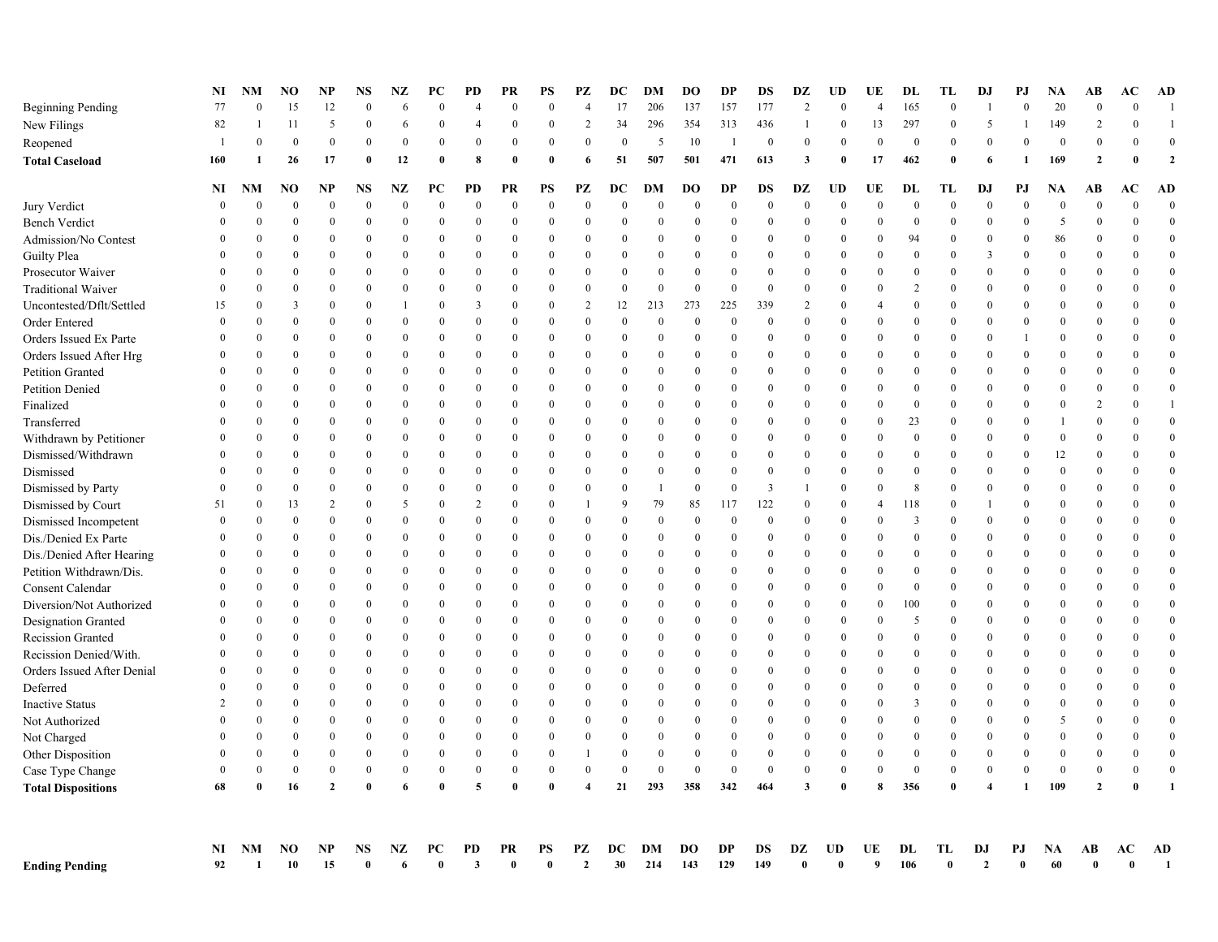| Reopened                   |               | $\theta$         | $\bf{0}$     | $\theta$       | $\theta$       | $\mathbf{0}$     | $\mathbf{0}$     | $\mathbf{0}$ | $\theta$       | $\theta$       | $\theta$       | $\mathbf{0}$ | 5                | 10               |                | $\theta$       | $\theta$                | $\theta$         | $\theta$       | $\mathbf{0}$   | $\bf{0}$         | $\theta$                | $\theta$         | $\theta$         | $\theta$       | $\Omega$     | $\overline{0}$   |
|----------------------------|---------------|------------------|--------------|----------------|----------------|------------------|------------------|--------------|----------------|----------------|----------------|--------------|------------------|------------------|----------------|----------------|-------------------------|------------------|----------------|----------------|------------------|-------------------------|------------------|------------------|----------------|--------------|------------------|
| <b>Total Caseload</b>      | 160           | -1               | 26           | 17             | $\mathbf{0}$   | 12               | $\mathbf{0}$     | 8            | $\sqrt{ }$     | $\theta$       | 6              | 51           | 507              | 501              | 471            | 613            | $\overline{\mathbf{3}}$ | $\mathbf 0$      | 17             | 462            | $\mathbf{0}$     | 6                       |                  | 169              | $\mathbf{2}$   |              | $\overline{2}$   |
|                            | NI            | NM               | NO           | NP             | NS             | NZ               | PС               | PD           | PR             | PS             | РZ             | DC           | DМ               | DО               | DP             | DS             | DZ                      | UD               | UE             | DL             | TL               | DJ                      | PJ               | NA               | AB             | АC           | AD               |
| Jury Verdict               | $\Omega$      | $\theta$         | $\mathbf{0}$ | $\Omega$       | $\Omega$       | $\mathbf{0}$     | $\mathbf{0}$     | $\bf{0}$     | $\theta$       | $\overline{0}$ | $\overline{0}$ | $\Omega$     | $\overline{0}$   | $\mathbf{0}$     | $\overline{0}$ | $\mathbf{0}$   | $\theta$                | $\overline{0}$   | $\Omega$       | $\Omega$       | $\mathbf{0}$     | $\overline{0}$          | $\theta$         | $\overline{0}$   | $\theta$       |              | $\overline{0}$   |
| <b>Bench Verdict</b>       |               | $\Omega$         | $\theta$     | $\theta$       | $\Omega$       | $\mathbf{0}$     | $\boldsymbol{0}$ | $\theta$     | $\theta$       | $\Omega$       | $\Omega$       | $\Omega$     | $\bf{0}$         | $\boldsymbol{0}$ | $\bf{0}$       | $\Omega$       | $\Omega$                | $\theta$         | $\Omega$       | $\bf{0}$       | $\boldsymbol{0}$ | $\Omega$                | $\Omega$         | 5                | $\Omega$       | $\Omega$     | $\mathbf{0}$     |
| Admission/No Contest       |               | $\Omega$         | $\theta$     | $\theta$       | $\theta$       | $\bf{0}$         | $\theta$         | $\Omega$     | $\theta$       | $\theta$       | $\theta$       | $\theta$     | $\theta$         | $\theta$         | $\Omega$       | $\Omega$       | $\theta$                | $\theta$         | $\Omega$       | 94             | $\mathbf{0}$     | $\theta$                | $\mathbf{0}$     | 86               | $\Omega$       | $\Omega$     | $\overline{0}$   |
| Guilty Plea                |               | $\theta$         | $\theta$     | $\theta$       | $\theta$       | $\overline{0}$   | $\mathbf{0}$     | $\Omega$     | $\theta$       | $\Omega$       | $\theta$       | $\theta$     | $\theta$         | $\theta$         | $\theta$       | $\theta$       | $\Omega$                | $\mathbf{0}$     | $\Omega$       | $\Omega$       | $\theta$         | $\overline{3}$          | $\theta$         | $\theta$         | $\theta$       | $\Omega$     | $\overline{0}$   |
| Prosecutor Waiver          |               | $\theta$         | $\theta$     | $\mathbf{0}$   | $\theta$       | $\mathbf{0}$     | $\mathbf{0}$     | $\Omega$     | $\theta$       | $\Omega$       | $\mathbf{0}$   | $\theta$     | $\theta$         | $\mathbf{0}$     | $\theta$       | $\theta$       | $\theta$                | $\mathbf{0}$     | $\Omega$       | $\overline{0}$ | $\mathbf{0}$     | $\mathbf{0}$            | $\theta$         | $\theta$         | $\theta$       | $\Omega$     | $\mathbf{0}$     |
| <b>Traditional Waiver</b>  | $\Omega$      | $\overline{0}$   | $\mathbf{0}$ | $\mathbf{0}$   | $\Omega$       | $\mathbf{0}$     | $\mathbf{0}$     | $\bf{0}$     | $\overline{0}$ | $\overline{0}$ | $\mathbf{0}$   | $\theta$     | $\mathbf{0}$     | $\boldsymbol{0}$ | $\overline{0}$ | $\mathbf{0}$   | $\theta$                | $\mathbf{0}$     | $\Omega$       | 2              | $\bf{0}$         | $\mathbf{0}$            | $\theta$         | $\bf{0}$         | $\Omega$       | $\Omega$     | $\mathbf{0}$     |
| Uncontested/Dflt/Settled   | 15            | $\theta$         | 3            | $\mathbf{0}$   | $\mathbf{0}$   | $\overline{1}$   | $\mathbf{0}$     | 3            | $\overline{0}$ | $\mathbf{0}$   | $\overline{2}$ | 12           | 213              | 273              | 225            | 339            | $\overline{2}$          | $\mathbf{0}$     | $\overline{4}$ | $\theta$       | $\boldsymbol{0}$ | $\mathbf{0}$            | $\theta$         | $\overline{0}$   | $\mathbf{0}$   | $\Omega$     | $\boldsymbol{0}$ |
| Order Entered              |               | $\theta$         | $\theta$     | $\theta$       | $\theta$       | $\theta$         | $\Omega$         | $\Omega$     | $\theta$       | $\Omega$       | $\theta$       | $\theta$     | $\Omega$         | $\boldsymbol{0}$ | $\Omega$       | $\Omega$       | $\Omega$                | $\theta$         | $\Omega$       | $\theta$       | $\theta$         | $\theta$                | $\theta$         | $\Omega$         | $\theta$       | $\Omega$     | $\mathbf{0}$     |
| Orders Issued Ex Parte     | $\Omega$      | $\theta$         | $\Omega$     | $\Omega$       | $\Omega$       | $\bf{0}$         | $\theta$         | $\theta$     | $\theta$       | $\theta$       | $\Omega$       | $\Omega$     | $\theta$         | $\theta$         | $\theta$       | $\theta$       | $\theta$                | $\theta$         | $\Omega$       | $\theta$       | $\mathbf{0}$     | $\Omega$                |                  | $\mathbf{0}$     | $\Omega$       | $\Omega$     | $\overline{0}$   |
| Orders Issued After Hrg    | $\theta$      | $\theta$         | $\theta$     | $\theta$       | $\theta$       | $\mathbf{0}$     | $\mathbf{0}$     | $\mathbf{0}$ | $\theta$       | $\theta$       | $\theta$       | $\theta$     | $\theta$         | $\mathbf{0}$     | $\theta$       | $\mathbf{0}$   | $\theta$                | $\mathbf{0}$     | $\Omega$       | $\theta$       | $\mathbf{0}$     | $\Omega$                | $\mathbf{0}$     | $\bf{0}$         | $\Omega$       | $\Omega$     | $\bf{0}$         |
| Petition Granted           |               | $\theta$         | $\theta$     | $\theta$       | $\theta$       | $\mathbf{0}$     | $\mathbf{0}$     | $\mathbf{0}$ | $\overline{0}$ | $\overline{0}$ | $\theta$       | $\theta$     | $\overline{0}$   | $\mathbf{0}$     | $\theta$       | $\overline{0}$ | $\Omega$                | $\mathbf{0}$     | $\Omega$       | $\theta$       | $\bf{0}$         | $\Omega$                | $\mathbf{0}$     | $\mathbf{0}$     | $\theta$       | $\Omega$     | $\mathbf{0}$     |
| Petition Denied            |               | $\theta$         | $\theta$     | $\mathbf{0}$   | $\theta$       | $\overline{0}$   | $\mathbf{0}$     | $\theta$     | $\overline{0}$ | $\overline{0}$ | $\mathbf{0}$   | $\theta$     | $\theta$         | $\mathbf{0}$     | $\mathbf{0}$   | $\mathbf{0}$   | $\overline{0}$          | $\mathbf{0}$     | $\Omega$       | $\theta$       | $\mathbf{0}$     | $\mathbf{0}$            | $\theta$         | $\theta$         | $\theta$       | $\Omega$     | $\boldsymbol{0}$ |
| Finalized                  |               | $\overline{0}$   | $\mathbf{0}$ | $\mathbf{0}$   | $\Omega$       | $\overline{0}$   | $\mathbf{0}$     | $\mathbf{0}$ | $\overline{0}$ | $\overline{0}$ | $\mathbf{0}$   | $\Omega$     | $\overline{0}$   | $\mathbf{0}$     | $\mathbf{0}$   | $\mathbf{0}$   | $\overline{0}$          | $\overline{0}$   | $\Omega$       | $\theta$       | $\mathbf{0}$     | $\overline{0}$          | $\theta$         | $\overline{0}$   | $\overline{2}$ | $\Omega$     | $\overline{1}$   |
| Transferred                | $\Omega$      | $\Omega$         | $\theta$     | $\theta$       | $\theta$       | $\boldsymbol{0}$ | $\boldsymbol{0}$ | $\bf{0}$     | $\theta$       | $\Omega$       | $\theta$       | $\theta$     | $\Omega$         | $\bf{0}$         | $\theta$       | $\Omega$       | $\Omega$                | $\boldsymbol{0}$ | $\Omega$       | 23             | $\boldsymbol{0}$ | $\Omega$                | $\boldsymbol{0}$ |                  | $\Omega$       | $\Omega$     | $\boldsymbol{0}$ |
| Withdrawn by Petitioner    | $\Omega$      | $\Omega$         | $\theta$     | $\overline{0}$ | $\Omega$       | $\mathbf{0}$     | $\bf{0}$         | $\mathbf{0}$ | $\theta$       | $\overline{0}$ | $\theta$       | $\theta$     | $\overline{0}$   | $\bf{0}$         | $\mathbf{0}$   | $\mathbf{0}$   | $\theta$                | $\mathbf{0}$     | $\theta$       | $\mathbf{0}$   | $\bf{0}$         | $\overline{0}$          | $\overline{0}$   | $\mathbf{0}$     | $\theta$       | $\Omega$     | $\overline{0}$   |
| Dismissed/Withdrawn        |               | $\theta$         | $\theta$     | $\mathbf{0}$   | $\theta$       | $\overline{0}$   | $\mathbf{0}$     | $\Omega$     | $\theta$       | $\overline{0}$ | $\theta$       | $\theta$     | $\theta$         | $\theta$         | $\theta$       | $\theta$       | $\Omega$                | $\mathbf{0}$     | $\Omega$       | $\Omega$       | $\bf{0}$         | $\theta$                | $\mathbf{0}$     | 12               | $\theta$       | $\Omega$     | $\mathbf{0}$     |
| Dismissed                  |               | $\theta$         | $\theta$     | $\theta$       | $\theta$       | $\overline{0}$   | $\mathbf{0}$     | $\mathbf{0}$ | $\theta$       | $\Omega$       | $\theta$       | $\theta$     | $\theta$         | $\theta$         | $\theta$       | $\mathbf{0}$   | $\Omega$                | $\mathbf{0}$     | $\theta$       | $\theta$       | $\theta$         | $\theta$                | $\theta$         | $\theta$         | $\theta$       |              | $\mathbf{0}$     |
| Dismissed by Party         |               | $\theta$         | $\theta$     | $\theta$       | $\theta$       | $\mathbf{0}$     | $\mathbf{0}$     | $\mathbf{0}$ | $\overline{0}$ | $\mathbf{0}$   | $\theta$       | $\theta$     | $\overline{1}$   | $\bf{0}$         | $\bf{0}$       | 3              |                         | $\mathbf{0}$     | $\Omega$       | 8              | $\mathbf{0}$     | $\theta$                | $\theta$         | $\mathbf{0}$     | $\theta$       | $\Omega$     | $\bf{0}$         |
| Dismissed by Court         | 51            | $\mathbf{0}$     | 13           | $\overline{2}$ | $\theta$       | 5                | $\boldsymbol{0}$ | 2            | $\overline{0}$ | $\mathbf{0}$   |                | 9            | 79               | 85               | 117            | 122            | $\overline{0}$          | $\mathbf{0}$     | $\overline{4}$ | 118            | $\boldsymbol{0}$ |                         | $\mathbf{0}$     | $\bf{0}$         | $\Omega$       | $\Omega$     | $\bf{0}$         |
| Dismissed Incompetent      |               | $\Omega$         | $\theta$     | $\theta$       | $\theta$       | $\mathbf{0}$     | $\overline{0}$   | $\mathbf{0}$ | $\theta$       | $\theta$       | $\theta$       | $\theta$     | $\boldsymbol{0}$ | $\mathbf{0}$     | $\Omega$       | $\Omega$       | $\theta$                | $\theta$         | $\Omega$       | $\overline{3}$ | $\mathbf{0}$     | $\theta$                | $\Omega$         | $\mathbf{0}$     | $\theta$       | $\Omega$     | $\overline{0}$   |
| Dis./Denied Ex Parte       |               | $\theta$         | $\theta$     | $\theta$       | $\theta$       | $\overline{0}$   | $\Omega$         | $\theta$     | $\theta$       | $\Omega$       | $\theta$       | $\theta$     | $\overline{0}$   | $\Omega$         | $\theta$       | $\theta$       | $\Omega$                | $\mathbf{0}$     | $\Omega$       | $\Omega$       | $\theta$         | $\theta$                | $\theta$         | $\theta$         | $\theta$       | $\Omega$     | $\mathbf{0}$     |
| Dis./Denied After Hearing  |               | $\theta$         | $\mathbf{0}$ | $\mathbf{0}$   | $\theta$       | $\mathbf{0}$     | $\mathbf{0}$     | $\mathbf{0}$ | $\theta$       | $\overline{0}$ | $\theta$       | $\theta$     | $\overline{0}$   | $\mathbf{0}$     | $\theta$       | $\mathbf{0}$   | $\theta$                | $\mathbf{0}$     | $\Omega$       | $\theta$       | $\bf{0}$         | $\mathbf{0}$            | $\theta$         | $\bf{0}$         | $\theta$       | $\Omega$     | $\mathbf{0}$     |
| Petition Withdrawn/Dis.    | $\Omega$      | $\theta$         | $\mathbf{0}$ | $\overline{0}$ | $\mathbf{0}$   | $\mathbf{0}$     | $\bf{0}$         | $\mathbf{0}$ | $\overline{0}$ | $\overline{0}$ | $\theta$       | $\theta$     | $\mathbf{0}$     | $\bf{0}$         | $\mathbf{0}$   | $\mathbf{0}$   | $\theta$                | $\mathbf{0}$     | $\Omega$       | $\theta$       | $\bf{0}$         | $\mathbf{0}$            | $\theta$         | $\mathbf{0}$     | $\theta$       | $\Omega$     | $\mathbf{0}$     |
| Consent Calendar           |               | $\theta$         | $\mathbf{0}$ | $\mathbf{0}$   | $\theta$       | $\overline{0}$   | $\mathbf{0}$     | $\mathbf{0}$ | $\overline{0}$ | $\overline{0}$ | $\mathbf{0}$   | $\theta$     | $\overline{0}$   | $\mathbf{0}$     | $\mathbf{0}$   | $\mathbf{0}$   | $\overline{0}$          | $\mathbf{0}$     | $\Omega$       | $\mathbf{0}$   | $\bf{0}$         | $\overline{0}$          | $\theta$         | $\theta$         | $\theta$       | $\Omega$     | $\mathbf{0}$     |
| Diversion/Not Authorized   |               | $\theta$         | $\theta$     | $\theta$       | $\Omega$       | $\theta$         | $\Omega$         | $\Omega$     | $\theta$       | $\Omega$       | $\theta$       | $\Omega$     | $\theta$         | $\theta$         | $\theta$       | $\Omega$       | $\Omega$                | $\theta$         | $\Omega$       | 100            | $\theta$         | $\theta$                | $\theta$         | $\theta$         | $\Omega$       | $\Omega$     | $\boldsymbol{0}$ |
| Designation Granted        | $\Omega$      | $\theta$         | $\theta$     | $\theta$       | $\theta$       | $\bf{0}$         | $\mathbf{0}$     | $\mathbf{0}$ | $\theta$       | $\theta$       | $\theta$       | $\Omega$     | $\theta$         | $\theta$         | $\theta$       | $\Omega$       | $\theta$                | $\mathbf{0}$     | $\Omega$       | -5             | $\theta$         | $\Omega$                | $\theta$         | $\mathbf{0}$     | $\Omega$       | $\Omega$     | $\boldsymbol{0}$ |
| Recission Granted          |               | $\theta$         | $\theta$     | $\theta$       | $\theta$       | $\mathbf{0}$     | $\mathbf{0}$     | $\theta$     | $\theta$       | $\theta$       | $\Omega$       | $\theta$     | $\theta$         | $\mathbf{0}$     | $\theta$       | $\Omega$       | $\theta$                | $\theta$         | $\Omega$       | $\theta$       | $\mathbf{0}$     | $\theta$                | $\theta$         | $\mathbf{0}$     | $\theta$       | $\Omega$     | $\overline{0}$   |
| Recission Denied/With.     | $\Omega$      | $\theta$         | $\theta$     | $\theta$       | $\theta$       | $\overline{0}$   | $\bf{0}$         | $\Omega$     | $\theta$       | $\Omega$       | $\theta$       | $\theta$     | $\overline{0}$   | $\Omega$         | $\Omega$       | $\Omega$       | $\theta$                | $\mathbf{0}$     | $\Omega$       | $\theta$       | $\bf{0}$         | $\theta$                | $\mathbf{0}$     | $\mathbf{0}$     | $\theta$       | $\Omega$     | $\mathbf{0}$     |
| Orders Issued After Denial |               | $\Omega$         | $\theta$     | $\mathbf{0}$   | $\theta$       | $\overline{0}$   | $\mathbf{0}$     | $\Omega$     | $\theta$       | $\mathbf{0}$   | $\theta$       | $\theta$     | $\overline{0}$   | $\theta$         | $\mathbf{0}$   | $\Omega$       | $\overline{0}$          | $\overline{0}$   | $\Omega$       | $\theta$       | $\mathbf{0}$     | $\Omega$                | $\theta$         | $\theta$         | $\theta$       | $\Omega$     | $\mathbf{0}$     |
| Deferred                   |               | $\theta$         | $\Omega$     | $\mathbf{0}$   | $\Omega$       | $\overline{0}$   | $\mathbf{0}$     | $\Omega$     | $\overline{0}$ | $\mathbf{0}$   | $\mathbf{0}$   | $\Omega$     | $\theta$         | $\Omega$         | $\mathbf{0}$   | $\Omega$       | $\overline{0}$          | $\boldsymbol{0}$ | $\Omega$       | $\mathbf{0}$   | $\mathbf{0}$     | $\mathbf{0}$            | $\theta$         | $\overline{0}$   | $\theta$       | $\Omega$     | $\boldsymbol{0}$ |
| <b>Inactive Status</b>     | $\mathcal{D}$ | $\Omega$         | $\theta$     | $\theta$       | $\theta$       | $\mathbf{0}$     | $\boldsymbol{0}$ | $\bf{0}$     | $\theta$       | $\Omega$       | $\theta$       | $\Omega$     | $\Omega$         | $\boldsymbol{0}$ | $\Omega$       | $\Omega$       | $\Omega$                | $\theta$         | $\Omega$       | 3              | $\boldsymbol{0}$ | $\Omega$                | $\theta$         | $\bf{0}$         | $\Omega$       | $\Omega$     | $\mathbf{0}$     |
| Not Authorized             |               | $\theta$         | $\theta$     | $\theta$       | $\theta$       | $\theta$         | $\boldsymbol{0}$ | $\mathbf{0}$ | $\theta$       | $\theta$       | $\theta$       | $\theta$     | $\theta$         | $\mathbf{0}$     | $\Omega$       | $\Omega$       | $\theta$                | $\theta$         | $\theta$       | $\theta$       | $\mathbf{0}$     | $\theta$                | $\Omega$         | 5                | $\theta$       | $\Omega$     | $\boldsymbol{0}$ |
| Not Charged                |               | $\theta$         | $\theta$     | $\theta$       | $\theta$       | $\mathbf{0}$     | $\theta$         | $\theta$     | $\theta$       | $\Omega$       | $\theta$       | $\theta$     | $\theta$         | $\mathbf{0}$     | $\theta$       | $\Omega$       | $\theta$                | $\theta$         | $\Omega$       | $\theta$       | $\theta$         | $\Omega$                | $\Omega$         | $\theta$         | $\theta$       | $\Omega$     | $\overline{0}$   |
| Other Disposition          |               | $\theta$         | $\theta$     | $\theta$       | $\theta$       | $\bf{0}$         | $\mathbf{0}$     | $\mathbf{0}$ | $\mathbf{0}$   | $\overline{0}$ | 1              | $\Omega$     | $\theta$         | $\mathbf{0}$     | $\mathbf{0}$   | $\theta$       | $\theta$                | $\mathbf{0}$     | $\Omega$       | $\theta$       | $\mathbf{0}$     | $\Omega$                | $\theta$         | $\boldsymbol{0}$ | $\theta$       | $\Omega$     | $\overline{0}$   |
| Case Type Change           |               | $\boldsymbol{0}$ | $\bf{0}$     | $\mathbf{0}$   | $\overline{0}$ | $\bf{0}$         | $\boldsymbol{0}$ | $\bf{0}$     | $\mathbf{0}$   | $\mathbf{0}$   | $\theta$       | $\theta$     | $\theta$         | $\bf{0}$         | $\mathbf{0}$   | $\mathbf{0}$   | $\boldsymbol{0}$        | $\mathbf{0}$     | $\Omega$       | $\mathbf{0}$   | $\bf{0}$         | $\Omega$                | $\theta$         | $\boldsymbol{0}$ | $\Omega$       | $\Omega$     | $\overline{0}$   |
| <b>Total Dispositions</b>  | 68            | $\mathbf{0}$     | 16           | $\overline{2}$ | $\mathbf{0}$   | -6               | $\bf{0}$         | 5            | $\theta$       | $\theta$       | 4              | 21           | 293              | 358              | 342            | 464            | $\overline{\mathbf{3}}$ | $\mathbf 0$      | 8              | 356            | $\bf{0}$         | $\overline{\mathbf{4}}$ |                  | 109              | $\overline{2}$ | $\mathbf{0}$ | $\mathbf{1}$     |
|                            |               |                  |              |                |                |                  |                  |              |                |                |                |              |                  |                  |                |                |                         |                  |                |                |                  |                         |                  |                  |                |              |                  |
|                            | NI            | NΜ               | NO           | NP             | NS             | NZ               | PС               | PD           | PR             | PS             | РZ             | DC           | DM               | DO               | DP             | DS             | DZ                      | UD               | UE             | DL             | TL               | DJ                      | РJ               | <b>NA</b>        | AВ             | AC           | AD               |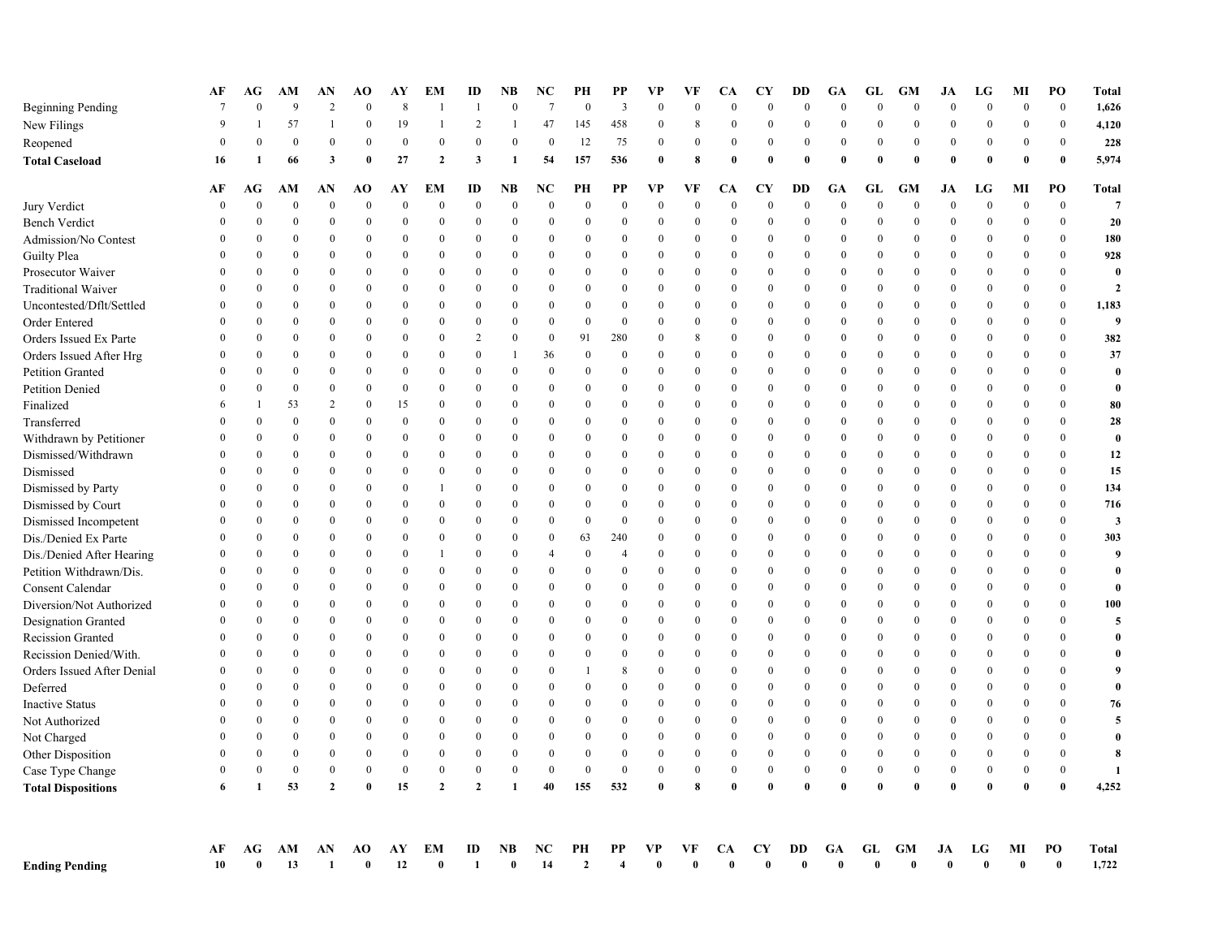|                            | АF           | AG<br>$\Omega$ | AM<br>9        | AN<br>$\overline{c}$ | <b>AO</b><br>$\mathbf{0}$ | AY<br>8      | EМ               | ID                 | NB<br>$\theta$            | NC<br>$\overline{7}$ | PН<br>$\theta$       | <b>PP</b><br>$\overline{3}$ | VP<br>$\theta$   | VF<br>$\theta$ | CА<br>$\theta$   | CY<br>$\theta$     | DD<br>$\theta$            | GA<br>$\theta$     | GL<br>$\mathbf{0}$ | <b>GM</b><br>$\theta$ | JA<br>$\theta$     | LG<br>$\Omega$ | MI<br>$\mathbf{0}$ | PO<br>$\mathbf{0}$ | <b>Total</b><br>1,626   |
|----------------------------|--------------|----------------|----------------|----------------------|---------------------------|--------------|------------------|--------------------|---------------------------|----------------------|----------------------|-----------------------------|------------------|----------------|------------------|--------------------|---------------------------|--------------------|--------------------|-----------------------|--------------------|----------------|--------------------|--------------------|-------------------------|
| <b>Beginning Pending</b>   | 9            |                | 57             | $\mathbf{1}$         | $\mathbf{0}$              |              | 1                | 2                  |                           | 47                   |                      | 458                         |                  | 8              | $\overline{0}$   | $\overline{0}$     | $\overline{0}$            | $\theta$           |                    |                       | $\mathbf{0}$       | $\theta$       |                    | $\mathbf{0}$       |                         |
| New Filings                |              |                |                |                      |                           | 19           |                  |                    | $\overline{1}$            |                      | 145                  |                             | $\bf{0}$         |                |                  |                    |                           |                    | $\bf{0}$           | $\boldsymbol{0}$      |                    |                | $\boldsymbol{0}$   |                    | 4,120                   |
| Reopened                   | $\Omega$     | $\theta$       | $\bf{0}$       | $\theta$             | $\theta$                  | $\bf{0}$     | $\mathbf{0}$     | $\theta$           | $\Omega$                  | $\theta$             | 12                   | 75                          | $\bf{0}$         | $\theta$       | $\overline{0}$   | $\theta$           | $\theta$                  | $\Omega$           | $\bf{0}$           | $\boldsymbol{0}$      | $\mathbf{0}$       | $\Omega$       | $\mathbf{0}$       | $\theta$           | 228                     |
| <b>Total Caseload</b>      | 16           | 1              | 66             | 3                    | $\mathbf{0}$              | 27           | $\mathbf{2}$     | 3                  | -1                        | 54                   | 157                  | 536                         | $\bf{0}$         | 8              | 0                | $\mathbf{0}$       | $\mathbf{0}$              | $\theta$           | $\bf{0}$           | $\theta$              | $\theta$           | $\theta$       | $\mathbf{0}$       | $\mathbf{0}$       | 5,974                   |
|                            | АF           | AG             | AМ             | AN                   | AO                        | AY           | EМ               | ID                 | NB                        | NC                   | PH                   | PP                          | <b>VP</b>        | VF             | CА               | CY                 | DD                        | GA                 | GL                 | <b>GM</b>             | JA                 | LG             | MI                 | PO                 | <b>Total</b>            |
| Jury Verdict               | $\theta$     | $\theta$       | $\theta$       | $\overline{0}$       | $\overline{0}$            | $\theta$     | $\boldsymbol{0}$ | $\theta$           | $\theta$                  | $\theta$             | $\mathbf{0}$         | $\theta$                    | $\mathbf{0}$     | $\theta$       | $\theta$         | $\theta$           | $\overline{0}$            | $\theta$           | $\boldsymbol{0}$   | $\overline{0}$        | $\theta$           | $\theta$       | $\boldsymbol{0}$   | $\boldsymbol{0}$   | $\overline{7}$          |
| <b>Bench Verdict</b>       | 0            | $\theta$       | $\theta$       | $\mathbf{0}$         | $\theta$                  | $\mathbf{0}$ | $\mathbf{0}$     | $\theta$           | $\theta$                  | $\theta$             | $\theta$             | $\theta$                    | $\theta$         | $\theta$       | $\theta$         | $\overline{0}$     | $\overline{0}$            | $\theta$           | $\bf{0}$           | $\boldsymbol{0}$      | $\bf{0}$           | $\Omega$       | $\boldsymbol{0}$   | $\bf{0}$           | 20                      |
| Admission/No Contest       | $\Omega$     | $\theta$       | $\theta$       | $\theta$             | $\theta$                  | $\mathbf{0}$ | $\Omega$         | $\theta$           | $\mathbf{0}$              | $\theta$             | $\Omega$             | $\mathbf{0}$                | $\mathbf{0}$     | $\theta$       | $\mathbf{0}$     | $\theta$           | $\theta$                  | $\Omega$           | $\bf{0}$           | $\bf{0}$              | $\bf{0}$           | $\Omega$       | $\mathbf{0}$       | $\theta$           | 180                     |
| <b>Guilty Plea</b>         |              | $\Omega$       | $\Omega$       | $\overline{0}$       | $\mathbf{0}$              | $\mathbf{0}$ | $\Omega$         | $\Omega$           | $\Omega$                  | $\Omega$             | $\Omega$             | $\mathbf{0}$                | $\boldsymbol{0}$ | $\Omega$       | $\mathbf{0}$     | $\theta$           | $\overline{0}$            | $\theta$           | $\bf{0}$           | $\overline{0}$        | $\mathbf{0}$       | $\Omega$       | $\boldsymbol{0}$   | $\Omega$           | 928                     |
| Prosecutor Waiver          | $\Omega$     | $\theta$       | $\theta$       | $\overline{0}$       | $\theta$                  | $\Omega$     | $\Omega$         | $\theta$           | $\theta$                  | $\Omega$             | $\Omega$             | $\theta$                    | $\boldsymbol{0}$ | $\Omega$       | $\theta$         | $\theta$           | $\theta$                  | $\theta$           | $\boldsymbol{0}$   | $\bf{0}$              | $\bf{0}$           | $\Omega$       | $\bf{0}$           | $\theta$           | $\theta$                |
| <b>Traditional Waiver</b>  |              | $\theta$       | $\theta$       | $\theta$             | $\theta$                  | $\theta$     | $\Omega$         | $\theta$           | $\theta$                  | $\Omega$             | $\Omega$             | $\theta$                    | $\Omega$         | $\theta$       | $\overline{0}$   | $\overline{0}$     | $\theta$                  | $\theta$           | $\boldsymbol{0}$   | $\theta$              | $\theta$           | $\Omega$       | $\mathbf{0}$       | $\theta$           | $\mathbf{2}$            |
| Uncontested/Dflt/Settled   |              | $\theta$       | $\theta$       | $\overline{0}$       | $\theta$                  | $\mathbf{0}$ | $\Omega$         | $\theta$           | $\theta$                  | $\Omega$             | $\theta$             | $\theta$                    | $\theta$         | $\theta$       | $\theta$         | $\theta$           | $\overline{0}$            | $\theta$           | $\bf{0}$           | $\overline{0}$        | $\theta$           | $\Omega$       | $\boldsymbol{0}$   | $\theta$           | 1,183                   |
| Order Entered              | 0            | $\theta$       | $\theta$       | $\overline{0}$       | $\theta$                  | $\mathbf{0}$ | $\mathbf{0}$     | $\boldsymbol{0}$   | $\theta$                  | $\Omega$             | $\mathbf{0}$         | $\theta$                    | $\bf{0}$         | $\theta$       | $\bf{0}$         | $\overline{0}$     | $\overline{0}$            | $\theta$           | $\bf{0}$           | $\overline{0}$        | $\mathbf{0}$       | $\Omega$       | $\boldsymbol{0}$   | $\mathbf{0}$       | $\boldsymbol{Q}$        |
| Orders Issued Ex Parte     |              | $\theta$       | $\theta$       | $\overline{0}$       | $\mathbf{0}$              | $\mathbf{0}$ | $\Omega$         | $\overline{2}$     | $\theta$                  | $\Omega$             | 91                   | 280                         | $\theta$         | 8              | $\overline{0}$   | $\overline{0}$     | $\overline{0}$            | $\theta$           | $\bf{0}$           | $\overline{0}$        | $\mathbf{0}$       | $\Omega$       | $\boldsymbol{0}$   | $\theta$           | 382                     |
| Orders Issued After Hrg    |              | $\theta$       | $\mathbf{0}$   | $\overline{0}$       | $\mathbf{0}$              | $\mathbf{0}$ | $\Omega$         | $\boldsymbol{0}$   | $\mathbf{1}$              | 36                   | $\mathbf{0}$         | $\theta$                    | $\mathbf{0}$     | $\theta$       | $\mathbf{0}$     | $\overline{0}$     | $\overline{0}$            | $\theta$           | $\bf{0}$           | $\overline{0}$        | $\theta$           | $\Omega$       | $\boldsymbol{0}$   | $\theta$           | 37                      |
| Petition Granted           |              | $\theta$       | $\theta$       | $\theta$             | $\theta$                  | $\mathbf{0}$ | $\Omega$         | $\theta$           | $\theta$                  | $\theta$             | $\theta$             | $\theta$                    | $\theta$         | $\theta$       | $\mathbf{0}$     | $\theta$           | $\boldsymbol{0}$          | $\theta$           | $\bf{0}$           | $\theta$              | $\overline{0}$     | $\Omega$       | $\bf{0}$           | $\theta$           | $\bf{0}$                |
| Petition Denied            | $\Omega$     | $\Omega$       | $\mathbf{0}$   | $\overline{0}$       | $\Omega$                  | $\bf{0}$     | $\Omega$         | $\Omega$           | $\boldsymbol{0}$          | $\Omega$             | $\Omega$             | $\mathbf{0}$                | $\boldsymbol{0}$ | $\Omega$       | $\mathbf{0}$     | $\theta$           | $\theta$                  | $\Omega$           | $\bf{0}$           | $\theta$              | $\bf{0}$           | $\Omega$       | $\boldsymbol{0}$   | $\Omega$           | $\bf{0}$                |
| Finalized                  | 6            | 1              | 53             | $\overline{2}$       | $\theta$                  | 15           | $\Omega$         | $\Omega$           | $\mathbf{0}$              | $\Omega$             | $\Omega$             | $\mathbf{0}$                | $\boldsymbol{0}$ | $\Omega$       | $\mathbf{0}$     | $\theta$           | $\overline{0}$            | $\Omega$           | $\bf{0}$           | $\theta$              | $\mathbf{0}$       | $\Omega$       | $\boldsymbol{0}$   | $\mathbf{0}$       | 80                      |
| Transferred                | $\Omega$     | $\theta$       | $\theta$       | $\overline{0}$       | $\theta$                  | $\theta$     | $\Omega$         | $\theta$           | $\theta$                  | $\Omega$             | $\Omega$             | $\theta$                    | $\Omega$         | $\theta$       | $\theta$         | $\theta$           | $\theta$                  | $\theta$           | $\bf{0}$           | $\theta$              | $\theta$           | $\Omega$       | $\bf{0}$           | $\theta$           | ${\bf 28}$              |
| Withdrawn by Petitioner    |              | $\theta$       | $\theta$       | $\overline{0}$       | $\theta$                  | $\theta$     | $\mathbf{0}$     | $\theta$           | $\theta$                  | $\Omega$             | $\theta$             | $\theta$                    | $\theta$         | $\theta$       | $\overline{0}$   | $\overline{0}$     | $\theta$                  | $\theta$           | $\boldsymbol{0}$   | $\overline{0}$        | $\theta$           | $\Omega$       | $\mathbf{0}$       | $\theta$           | $\bf{0}$                |
| Dismissed/Withdrawn        | 0            | $\mathbf{0}$   | $\mathbf{0}$   | $\overline{0}$       | $\theta$                  | $\mathbf{0}$ | $\mathbf{0}$     | $\theta$           | $\theta$                  | $\Omega$             | $\theta$             | $\theta$                    | $\theta$         | $\theta$       | $\theta$         | $\overline{0}$     | $\overline{0}$            | $\theta$           | $\bf{0}$           | $\overline{0}$        | $\theta$           | $\Omega$       | $\boldsymbol{0}$   | $\theta$           | 12                      |
| Dismissed                  | $\Omega$     | $\theta$       | $\theta$       | $\overline{0}$       | $\theta$                  | $\mathbf{0}$ | $\mathbf{0}$     | $\theta$           | $\overline{0}$            | $\Omega$             | $\theta$             | $\theta$                    | $\bf{0}$         | $\theta$       | $\bf{0}$         | $\overline{0}$     | $\overline{0}$            | $\theta$           | $\bf{0}$           | $\overline{0}$        | $\mathbf{0}$       | $\Omega$       | $\boldsymbol{0}$   | $\mathbf{0}$       | 15                      |
| Dismissed by Party         |              | $\theta$       | $\mathbf{0}$   | $\overline{0}$       | $\mathbf{0}$              | $\mathbf{0}$ |                  | $\theta$           | $\theta$                  | $\theta$             | $\theta$             | $\theta$                    | $\overline{0}$   | $\theta$       | $\mathbf{0}$     | $\overline{0}$     | $\overline{0}$            | $\theta$           | $\bf{0}$           | $\overline{0}$        | $\mathbf{0}$       | $\Omega$       | $\boldsymbol{0}$   | $\theta$           | 134                     |
| Dismissed by Court         |              | $\theta$       | $\theta$       | $\theta$             | $\theta$                  | $\theta$     | $\mathbf{0}$     | $\theta$           | $\theta$                  | $\theta$             | $\theta$             | $\theta$                    | $\theta$         | $\theta$       | $\theta$         | $\theta$           | $\overline{0}$            | $\theta$           | $\bf{0}$           | $\overline{0}$        | $\theta$           | $\Omega$       | $\Omega$           | $\theta$           | 716                     |
| Dismissed Incompetent      |              | $\theta$       | $\theta$       | $\overline{0}$       | $\theta$                  | $\mathbf{0}$ | $\Omega$         | $\theta$           | $\theta$                  | $\Omega$             | $\theta$             | $\mathbf{0}$                | $\theta$         | $\Omega$       | $\mathbf{0}$     | $\theta$           | $\overline{0}$            | $\theta$           | $\bf{0}$           | $\overline{0}$        | $\boldsymbol{0}$   | $\Omega$       | $\bf{0}$           | $\theta$           | $\mathbf{3}$            |
| Dis./Denied Ex Parte       | 0            | $\Omega$       | $\Omega$       | $\overline{0}$       | $\Omega$                  | $\mathbf{0}$ | $\Omega$         | $\theta$           | $\boldsymbol{0}$          | $\Omega$             | 63                   | 240                         | $\mathbf{0}$     | $\Omega$       | $\mathbf{0}$     | $\theta$           | $\overline{0}$            | $\Omega$           | $\bf{0}$           | $\overline{0}$        | $\bf{0}$           | $\Omega$       | $\bf{0}$           | $\Omega$           | 303                     |
| Dis./Denied After Hearing  |              | $\theta$       | $\theta$       | $\overline{0}$       | $\theta$                  | $\theta$     |                  | $\Omega$           | $\theta$                  | $\overline{4}$       | $\Omega$             | $\overline{4}$              | $\boldsymbol{0}$ | $\Omega$       | $\theta$         | $\theta$           | $\theta$                  | $\Omega$           | $\boldsymbol{0}$   | $\theta$              | $\bf{0}$           | $\Omega$       | $\boldsymbol{0}$   | $\Omega$           | $\overline{9}$          |
| Petition Withdrawn/Dis.    | $\Omega$     | $\theta$       | $\theta$       | $\theta$             | $\theta$                  | $\Omega$     | $\Omega$         | $\theta$           | $\theta$                  | $\Omega$             | $\Omega$             | $\theta$                    | $\theta$         | $\theta$       | $\theta$         | $\boldsymbol{0}$   | $\theta$                  | $\theta$           | $\bf{0}$           | $\theta$              | $\theta$           | $\Omega$       | $\boldsymbol{0}$   | $\theta$           | $\bf{0}$                |
| Consent Calendar           | 0            | $\theta$       | $\theta$       | $\overline{0}$       | $\theta$                  | $\mathbf{0}$ | $\mathbf{0}$     | $\theta$           | $\theta$                  | $\Omega$             | $\Omega$             | $\theta$                    | $\theta$         | $\Omega$       | $\boldsymbol{0}$ | $\overline{0}$     | $\overline{0}$            | $\Omega$           | $\boldsymbol{0}$   | $\overline{0}$        | $\theta$           | $\Omega$       | $\bf{0}$           | $\theta$           | $\mathbf{0}$            |
| Diversion/Not Authorized   | $\Omega$     | $\mathbf{0}$   | $\mathbf{0}$   | $\overline{0}$       | $\theta$                  | $\mathbf{0}$ | $\mathbf{0}$     | $\theta$           | $\theta$                  | $\Omega$             | $\theta$             | $\mathbf{0}$                | $\mathbf{0}$     | $\theta$       | $\theta$         | $\theta$           | $\overline{0}$            | $\theta$           | $\bf{0}$           | $\overline{0}$        | $\boldsymbol{0}$   | $\Omega$       | $\boldsymbol{0}$   | $\theta$           | 100                     |
| Designation Granted        | $\theta$     | $\theta$       | $\theta$       | $\overline{0}$       | $\theta$                  | $\mathbf{0}$ | $\mathbf{0}$     | $\theta$           | $\theta$                  | $\Omega$             | $\theta$             | $\mathbf{0}$                | $\bf{0}$         | $\theta$       | $\bf{0}$         | $\overline{0}$     | $\overline{0}$            | $\theta$           | $\bf{0}$           | $\overline{0}$        | $\mathbf{0}$       | $\Omega$       | $\boldsymbol{0}$   | $\theta$           | 5                       |
| Recission Granted          |              | $\theta$       | $\theta$       | $\overline{0}$       | $\mathbf{0}$              | $\mathbf{0}$ | $\Omega$         | $\theta$           | $\theta$                  | $\theta$             | $\theta$             | $\theta$                    | $\theta$         | $\theta$       | $\mathbf{0}$     | $\overline{0}$     | $\overline{0}$            | $\theta$           | $\bf{0}$           | $\overline{0}$        | $\theta$           | $\Omega$       | $\boldsymbol{0}$   | $\theta$           | $\bf{0}$                |
| Recission Denied/With.     |              | $\theta$       | $\theta$       | $\theta$             | $\theta$                  | $\mathbf{0}$ | $\Omega$         | $\theta$           | $\theta$                  | $\theta$             | $\theta$             | $\theta$                    | $\theta$         | $\theta$       | $\theta$         | $\theta$           | $\theta$                  | $\theta$           | $\bf{0}$           | $\theta$              | $\overline{0}$     | $\Omega$       | $\theta$           | $\theta$           | $\bf{0}$                |
| Orders Issued After Denial | 0            | $\theta$       | $\theta$       | $\theta$             | $\theta$                  | $\mathbf{0}$ | $\Omega$         | $\theta$           | $\theta$                  | $\Omega$             | -1                   | 8                           | $\mathbf{0}$     | $\theta$       | $\mathbf{0}$     | $\theta$           | $\overline{0}$            | $\theta$           | $\bf{0}$           | $\theta$              | $\mathbf{0}$       | $\Omega$       | $\boldsymbol{0}$   | $\theta$           | 9                       |
| Deferred                   | $\Omega$     | $\Omega$       | $\Omega$       | $\theta$             | $\Omega$                  | $\theta$     | $\Omega$         | $\theta$           | $\theta$                  | $\Omega$             | $\Omega$             | $\theta$                    | $\theta$         | $\Omega$       | $\theta$         | $\theta$           | $\theta$                  | $\Omega$           | $\bf{0}$           | $\bf{0}$              | $\bf{0}$           | $\Omega$       | $\Omega$           | $\Omega$           | $\bf{0}$                |
| <b>Inactive Status</b>     | $\Omega$     | $\theta$       | $\theta$       | $\overline{0}$       | $\theta$                  | $\theta$     | $\Omega$         | $\Omega$           | $\theta$                  | $\Omega$             | $\Omega$             | $\theta$                    | $\bf{0}$         | $\Omega$       | $\theta$         | $\theta$           | $\theta$                  | $\theta$           | $\boldsymbol{0}$   | $\theta$              | $\boldsymbol{0}$   | $\Omega$       | $\theta$           | $\theta$           | 76                      |
| Not Authorized             | $\Omega$     | $\theta$       | $\theta$       | $\theta$             | $\theta$                  | $\theta$     | $\Omega$         | $\Omega$           | $\theta$                  | $\Omega$             | $\theta$             | $\theta$                    | $\Omega$         | $\theta$       | $\theta$         | $\overline{0}$     | $\theta$                  | $\theta$           | $\mathbf{0}$       | $\theta$              | $\theta$           | $\Omega$       | $\theta$           | $\Omega$           | $\overline{\mathbf{5}}$ |
| Not Charged                | 0            | $\theta$       | $\theta$       | $\overline{0}$       | $\theta$                  | $\mathbf{0}$ | $\mathbf{0}$     | $\theta$           | $\theta$                  | $\Omega$             | $\theta$             | $\theta$                    | $\overline{0}$   | $\theta$       | $\bf{0}$         | $\overline{0}$     | $\theta$                  | $\theta$           | $\bf{0}$           | $\overline{0}$        | $\theta$           | $\Omega$       | $\bf{0}$           | $\theta$           | $\bf{0}$                |
| Other Disposition          | $\theta$     | $\theta$       | $\overline{0}$ | $\overline{0}$       | $\mathbf{0}$              | $\mathbf{0}$ | $\mathbf{0}$     | $\mathbf{0}$       | $\overline{0}$            | $\Omega$             | $\theta$             | $\mathbf{0}$                | $\bf{0}$         | $\mathbf{0}$   | $\overline{0}$   | $\overline{0}$     | $\overline{0}$            | $\mathbf{0}$       | $\bf{0}$           | $\boldsymbol{0}$      | $\mathbf{0}$       | $\Omega$       | $\boldsymbol{0}$   | $\mathbf{0}$       | 8                       |
| Case Type Change           | $\mathbf{0}$ | $\mathbf{0}$   | $\mathbf{0}$   | $\overline{0}$       | $\mathbf{0}$              | $\bf{0}$     | $\boldsymbol{0}$ | $\boldsymbol{0}$   | $\boldsymbol{0}$          | $\Omega$             | $\mathbf{0}$         | $\bf{0}$                    | $\bf{0}$         | $\mathbf{0}$   | $\mathbf{0}$     | $\bf{0}$           | $\overline{0}$            | $\overline{0}$     | $\boldsymbol{0}$   | $\boldsymbol{0}$      | $\boldsymbol{0}$   | $\overline{0}$ | $\mathbf{0}$       | $\mathbf{0}$       | $\mathbf{1}$            |
| <b>Total Dispositions</b>  | 6            | 1              | 53             | $\mathbf{2}$         | $\bf{0}$                  | 15           | $\overline{2}$   | $\overline{2}$     | $\mathbf{1}$              | 40                   | 155                  | 532                         | $\mathbf{0}$     | 8              | $\mathbf 0$      | $\mathbf{0}$       | $\mathbf{0}$              | $\theta$           | $\mathbf{0}$       | $\boldsymbol{0}$      | $\mathbf{0}$       | $\theta$       | $\mathbf{0}$       | $\mathbf{0}$       | 4,252                   |
|                            |              |                |                |                      |                           |              |                  |                    |                           |                      |                      |                             |                  |                |                  |                    |                           |                    |                    |                       |                    |                |                    |                    |                         |
| <b>Ending Pending</b>      | АF<br>10     | AG<br>0        | AM<br>13       | AN<br>$\mathbf{1}$   | AO                        | AY<br>12     | EМ               | ID<br>$\mathbf{1}$ | <b>NB</b><br>$\mathbf{0}$ | NC<br>14             | PH<br>$\overline{2}$ | PP                          | VP<br>$\theta$   | VF             | CА               | CY<br>$\mathbf{0}$ | <b>DD</b><br>$\mathbf{0}$ | GA<br>$\mathbf{0}$ | GL                 | GM<br>$\mathbf{0}$    | JA<br>$\mathbf{0}$ | LG             | MI                 | PO<br>$\mathbf{0}$ | <b>Total</b><br>1,722   |